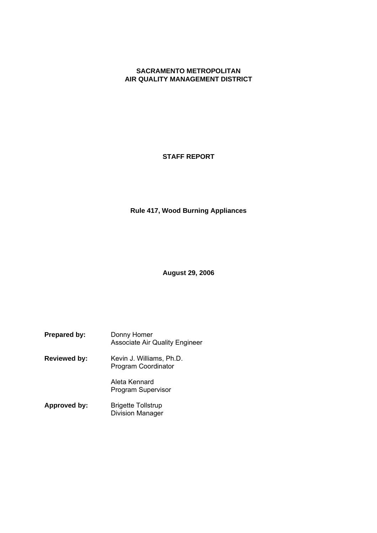# **SACRAMENTO METROPOLITAN AIR QUALITY MANAGEMENT DISTRICT**

**STAFF REPORT**

**Rule 417, Wood Burning Appliances**

**August 29, 2006**

**Prepared by:** Donny Homer Associate Air Quality Engineer **Reviewed by:** Kevin J. Williams, Ph.D. Program Coordinator Aleta Kennard Program Supervisor

**Approved by:** Brigette Tollstrup Division Manager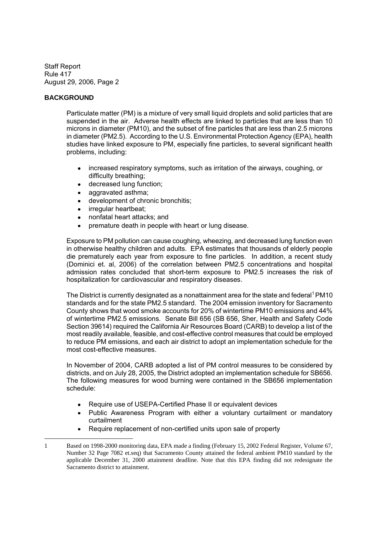# **BACKGROUND**

Particulate matter (PM) is a mixture of very small liquid droplets and solid particles that are suspended in the air. Adverse health effects are linked to particles that are less than 10 microns in diameter (PM10), and the subset of fine particles that are less than 2.5 microns in diameter (PM2.5). According to the U.S. Environmental Protection Agency (EPA), health studies have linked exposure to PM, especially fine particles, to several significant health problems, including:

- increased respiratory symptoms, such as irritation of the airways, coughing, or  $\bullet$ difficulty breathing;
- decreased lung function;  $\bullet$
- aggravated asthma;  $\bullet$
- development of chronic bronchitis;  $\bullet$
- irregular heartbeat;  $\bullet$
- $\bullet$ nonfatal heart attacks; and
- premature death in people with heart or lung disease.

Exposure to PM pollution can cause coughing, wheezing, and decreased lung function even in otherwise healthy children and adults. EPA estimates that thousands of elderly people die prematurely each year from exposure to fine particles. In addition, a recent study (Dominici et. al, 2006) of the correlation between PM2.5 concentrations and hospital admission rates concluded that short-term exposure to PM2.5 increases the risk of hospitalization for cardiovascular and respiratory diseases.

The District is currently designated as a nonattainment area for the state and federal<sup>1</sup> PM10 standards and for the state PM2.5 standard. The 2004 emission inventory for Sacramento County shows that wood smoke accounts for 20% of wintertime PM10 emissions and 44% of wintertime PM2.5 emissions. Senate Bill 656 (SB 656, Sher, Health and Safety Code Section 39614) required the California Air Resources Board (CARB) to develop a list of the most readily available, feasible, and cost-effective control measures that could be employed to reduce PM emissions, and each air district to adopt an implementation schedule for the most cost-effective measures.

In November of 2004, CARB adopted a list of PM control measures to be considered by districts, and on July 28, 2005, the District adopted an implementation schedule for SB656. The following measures for wood burning were contained in the SB656 implementation schedule:

- Require use of USEPA-Certified Phase II or equivalent devices
- Public Awareness Program with either a voluntary curtailment or mandatory curtailment
- Require replacement of non-certified units upon sale of property

<sup>1</sup> Based on 1998-2000 monitoring data, EPA made a finding (February 15, 2002 Federal Register, Volume 67, Number 32 Page 7082 et.seq) that Sacramento County attained the federal ambient PM10 standard by the applicable December 31, 2000 attainment deadline. Note that this EPA finding did not redesignate the Sacramento district to attainment.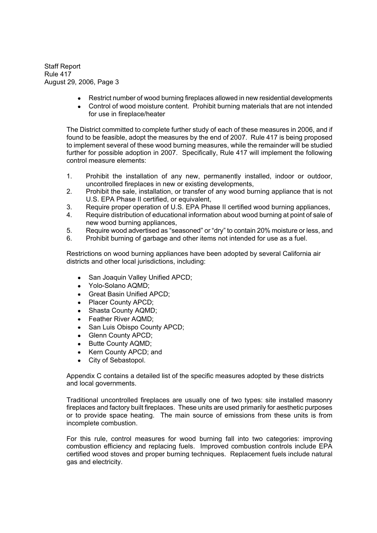- Restrict number of wood burning fireplaces allowed in new residential developments
- Control of wood moisture content. Prohibit burning materials that are not intended for use in fireplace/heater

The District committed to complete further study of each of these measures in 2006, and if found to be feasible, adopt the measures by the end of 2007. Rule 417 is being proposed to implement several of these wood burning measures, while the remainder will be studied further for possible adoption in 2007. Specifically, Rule 417 will implement the following control measure elements:

- 1. Prohibit the installation of any new, permanently installed, indoor or outdoor, uncontrolled fireplaces in new or existing developments,
- 2. Prohibit the sale, installation, or transfer of any wood burning appliance that is not U.S. EPA Phase II certified, or equivalent,
- 3. Require proper operation of U.S. EPA Phase II certified wood burning appliances,
- 4. Require distribution of educational information about wood burning at point of sale of new wood burning appliances,
- 5. Require wood advertised as "seasoned" or "dry" to contain 20% moisture or less, and
- 6. Prohibit burning of garbage and other items not intended for use as a fuel.

Restrictions on wood burning appliances have been adopted by several California air districts and other local jurisdictions, including:

- San Joaquin Valley Unified APCD;  $\bullet$
- Yolo-Solano AQMD;
- Great Basin Unified APCD;
- Placer County APCD;  $\bullet$
- Shasta County AQMD;  $\bullet$
- Feather River AQMD;  $\bullet$
- San Luis Obispo County APCD;  $\bullet$
- Glenn County APCD;  $\bullet$
- $\bullet$ Butte County AQMD;
- Kern County APCD; and  $\bullet$
- City of Sebastopol.  $\bullet$

Appendix C contains a detailed list of the specific measures adopted by these districts and local governments.

Traditional uncontrolled fireplaces are usually one of two types: site installed masonry fireplaces and factory built fireplaces. These units are used primarily for aesthetic purposes or to provide space heating. The main source of emissions from these units is from incomplete combustion.

For this rule, control measures for wood burning fall into two categories: improving combustion efficiency and replacing fuels. Improved combustion controls include EPA certified wood stoves and proper burning techniques. Replacement fuels include natural gas and electricity.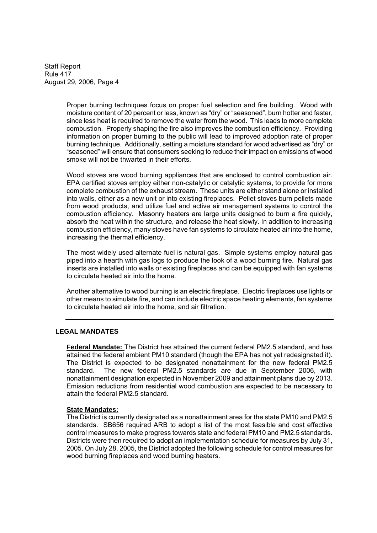> Proper burning techniques focus on proper fuel selection and fire building. Wood with moisture content of 20 percent or less, known as "dry" or "seasoned", burn hotter and faster, since less heat is required to remove the water from the wood. This leads to more complete combustion. Properly shaping the fire also improves the combustion efficiency. Providing information on proper burning to the public will lead to improved adoption rate of proper burning technique. Additionally, setting a moisture standard for wood advertised as "dry" or "seasoned" will ensure that consumers seeking to reduce their impact on emissions of wood smoke will not be thwarted in their efforts.

> Wood stoves are wood burning appliances that are enclosed to control combustion air. EPA certified stoves employ either non-catalytic or catalytic systems, to provide for more complete combustion of the exhaust stream. These units are either stand alone or installed into walls, either as a new unit or into existing fireplaces. Pellet stoves burn pellets made from wood products, and utilize fuel and active air management systems to control the combustion efficiency. Masonry heaters are large units designed to burn a fire quickly, absorb the heat within the structure, and release the heat slowly. In addition to increasing combustion efficiency, many stoves have fan systems to circulate heated air into the home, increasing the thermal efficiency.

> The most widely used alternate fuel is natural gas. Simple systems employ natural gas piped into a hearth with gas logs to produce the look of a wood burning fire. Natural gas inserts are installed into walls or existing fireplaces and can be equipped with fan systems to circulate heated air into the home.

> Another alternative to wood burning is an electric fireplace. Electric fireplaces use lights or other means to simulate fire, and can include electric space heating elements, fan systems to circulate heated air into the home, and air filtration.

### **LEGAL MANDATES**

**Federal Mandate:** The District has attained the current federal PM2.5 standard, and has attained the federal ambient PM10 standard (though the EPA has not yet redesignated it). The District is expected to be designated nonattainment for the new federal PM2.5 standard. The new federal PM2.5 standards are due in September 2006, with nonattainment designation expected in November 2009 and attainment plans due by 2013. Emission reductions from residential wood combustion are expected to be necessary to attain the federal PM2.5 standard.

#### **State Mandates:**

The District is currently designated as a nonattainment area for the state PM10 and PM2.5 standards. SB656 required ARB to adopt a list of the most feasible and cost effective control measures to make progress towards state and federal PM10 and PM2.5 standards. Districts were then required to adopt an implementation schedule for measures by July 31, 2005. On July 28, 2005, the District adopted the following schedule for control measures for wood burning fireplaces and wood burning heaters.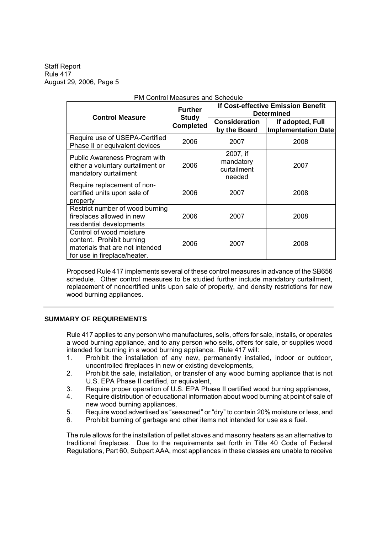| <b>Control Measure</b>                                                                                                   | <b>Further</b>                   | <b>If Cost-effective Emission Benefit</b><br><b>Determined</b> |                                                |  |
|--------------------------------------------------------------------------------------------------------------------------|----------------------------------|----------------------------------------------------------------|------------------------------------------------|--|
|                                                                                                                          | <b>Study</b><br><b>Completed</b> | <b>Consideration</b><br>by the Board                           | If adopted, Full<br><b>Implementation Date</b> |  |
| Require use of USEPA-Certified<br>Phase II or equivalent devices                                                         | 2006                             | 2007                                                           | 2008                                           |  |
| Public Awareness Program with<br>either a voluntary curtailment or<br>mandatory curtailment                              | 2006                             | 2007, if<br>mandatory<br>curtailment<br>needed                 | 2007                                           |  |
| Require replacement of non-<br>certified units upon sale of<br>property                                                  | 2006                             | 2007                                                           | 2008                                           |  |
| Restrict number of wood burning<br>fireplaces allowed in new<br>residential developments                                 | 2006                             | 2007                                                           | 2008                                           |  |
| Control of wood moisture<br>content. Prohibit burning<br>materials that are not intended<br>for use in fireplace/heater. | 2006                             | 2007                                                           | 2008                                           |  |

### PM Control Measures and Schedule

Proposed Rule 417 implements several of these control measures in advance of the SB656 schedule. Other control measures to be studied further include mandatory curtailment, replacement of noncertified units upon sale of property, and density restrictions for new wood burning appliances.

### **SUMMARY OF REQUIREMENTS**

Rule 417 applies to any person who manufactures, sells, offers for sale, installs, or operates a wood burning appliance, and to any person who sells, offers for sale, or supplies wood intended for burning in a wood burning appliance. Rule 417 will:

- 1. Prohibit the installation of any new, permanently installed, indoor or outdoor, uncontrolled fireplaces in new or existing developments,
- 2. Prohibit the sale, installation, or transfer of any wood burning appliance that is not U.S. EPA Phase II certified, or equivalent,
- 3. Require proper operation of U.S. EPA Phase II certified wood burning appliances,
- 4. Require distribution of educational information about wood burning at point of sale of new wood burning appliances,
- 5. Require wood advertised as "seasoned" or "dry" to contain 20% moisture or less, and
- 6. Prohibit burning of garbage and other items not intended for use as a fuel.

The rule allows for the installation of pellet stoves and masonry heaters as an alternative to traditional fireplaces. Due to the requirements set forth in Title 40 Code of Federal Regulations, Part 60, Subpart AAA, most appliances in these classes are unable to receive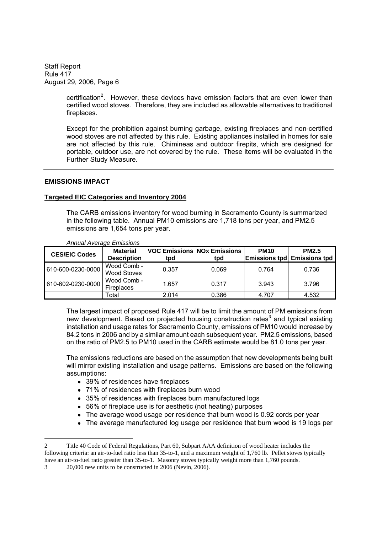> certification<sup>2</sup>. However, these devices have emission factors that are even lower than certified wood stoves. Therefore, they are included as allowable alternatives to traditional fireplaces.

Except for the prohibition against burning garbage, existing fireplaces and non-certified wood stoves are not affected by this rule. Existing appliances installed in homes for sale are not affected by this rule. Chimineas and outdoor firepits, which are designed for portable, outdoor use, are not covered by the rule. These items will be evaluated in the Further Study Measure.

### **EMISSIONS IMPACT**

### **Targeted EIC Categories and Inventory 2004**

The CARB emissions inventory for wood burning in Sacramento County is summarized in the following table. Annual PM10 emissions are 1,718 tons per year, and PM2.5 emissions are 1,654 tons per year.

| <b>CES/EIC Codes</b> | <b>Material</b><br><b>Description</b> | tpd   | <b>VOC Emissions NOx Emissions</b><br>tpd | <b>PM10</b> | <b>PM2.5</b><br><b>Emissions tpd</b> Emissions tpd |
|----------------------|---------------------------------------|-------|-------------------------------------------|-------------|----------------------------------------------------|
| 610-600-0230-0000    | Wood Comb -<br><b>Wood Stoves</b>     | 0.357 | 0.069                                     | 0.764       | 0.736                                              |
| 610-602-0230-0000    | Wood Comb -<br><b>Fireplaces</b>      | 1.657 | 0.317                                     | 3.943       | 3.796                                              |
|                      | Total                                 | 2.014 | 0.386                                     | 4.707       | 4.532                                              |

*Annual Average Emissions*

The largest impact of proposed Rule 417 will be to limit the amount of PM emissions from new development. Based on projected housing construction rates<sup>3</sup> and typical existing installation and usage rates for Sacramento County, emissions of PM10 would increase by 84.2 tons in 2006 and by a similar amount each subsequent year. PM2.5 emissions, based on the ratio of PM2.5 to PM10 used in the CARB estimate would be 81.0 tons per year.

The emissions reductions are based on the assumption that new developments being built will mirror existing installation and usage patterns. Emissions are based on the following assumptions:

- 39% of residences have fireplaces
- 71% of residences with fireplaces burn wood
- 35% of residences with fireplaces burn manufactured logs
- 56% of fireplace use is for aesthetic (not heating) purposes
- The average wood usage per residence that burn wood is 0.92 cords per year
- The average manufactured log usage per residence that burn wood is 19 logs per

<sup>2</sup> Title 40 Code of Federal Regulations, Part 60, Subpart AAA definition of wood heater includes the following criteria: an air-to-fuel ratio less than 35-to-1, and a maximum weight of 1,760 lb. Pellet stoves typically have an air-to-fuel ratio greater than 35-to-1. Masonry stoves typically weight more than 1,760 pounds.

<sup>3 20,000</sup> new units to be constructed in 2006 (Nevin, 2006).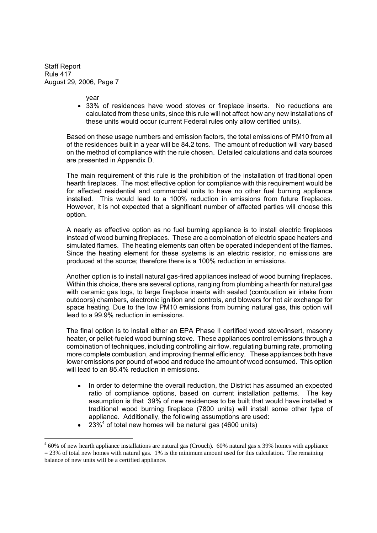year

33% of residences have wood stoves or fireplace inserts. No reductions are calculated from these units, since this rule will not affect how any new installations of these units would occur (current Federal rules only allow certified units).

Based on these usage numbers and emission factors, the total emissions of PM10 from all of the residences built in a year will be 84.2 tons. The amount of reduction will vary based on the method of compliance with the rule chosen. Detailed calculations and data sources are presented in Appendix D.

The main requirement of this rule is the prohibition of the installation of traditional open hearth fireplaces. The most effective option for compliance with this requirement would be for affected residential and commercial units to have no other fuel burning appliance installed. This would lead to a 100% reduction in emissions from future fireplaces. However, it is not expected that a significant number of affected parties will choose this option.

A nearly as effective option as no fuel burning appliance is to install electric fireplaces instead of wood burning fireplaces. These are a combination of electric space heaters and simulated flames. The heating elements can often be operated independent of the flames. Since the heating element for these systems is an electric resistor, no emissions are produced at the source; therefore there is a 100% reduction in emissions.

Another option is to install natural gas-fired appliances instead of wood burning fireplaces. Within this choice, there are several options, ranging from plumbing a hearth for natural gas with ceramic gas logs, to large fireplace inserts with sealed (combustion air intake from outdoors) chambers, electronic ignition and controls, and blowers for hot air exchange for space heating. Due to the low PM10 emissions from burning natural gas, this option will lead to a 99.9% reduction in emissions.

The final option is to install either an EPA Phase II certified wood stove/insert, masonry heater, or pellet-fueled wood burning stove. These appliances control emissions through a combination of techniques, including controlling air flow, regulating burning rate, promoting more complete combustion, and improving thermal efficiency. These appliances both have lower emissions per pound of wood and reduce the amount of wood consumed. This option will lead to an 85.4% reduction in emissions.

- In order to determine the overall reduction, the District has assumed an expected  $\bullet$ ratio of compliance options, based on current installation patterns. The key assumption is that 39% of new residences to be built that would have installed a traditional wood burning fireplace (7800 units) will install some other type of appliance. Additionally, the following assumptions are used:
- $23\%$ <sup>4</sup> of total new homes will be natural gas (4600 units)  $\bullet$

 $460\%$  of new hearth appliance installations are natural gas (Crouch). 60% natural gas x 39% homes with appliance  $= 23\%$  of total new homes with natural gas. 1% is the minimum amount used for this calculation. The remaining balance of new units will be a certified appliance.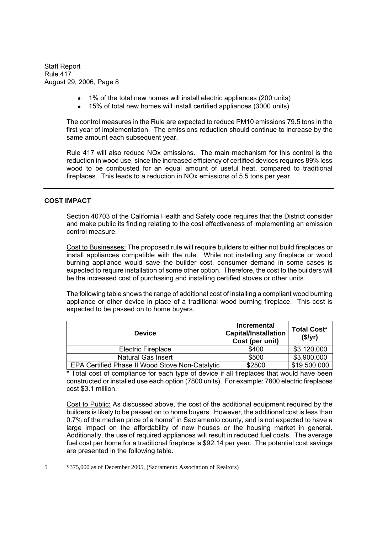- 1% of the total new homes will install electric appliances (200 units)
- 15% of total new homes will install certified appliances (3000 units)

The control measures in the Rule are expected to reduce PM10 emissions 79.5 tons in the first year of implementation. The emissions reduction should continue to increase by the same amount each subsequent year.

Rule 417 will also reduce NOx emissions. The main mechanism for this control is the reduction in wood use, since the increased efficiency of certified devices requires 89% less wood to be combusted for an equal amount of useful heat, compared to traditional fireplaces. This leads to a reduction in NOx emissions of 5.5 tons per year.

# **COST IMPACT**

Section 40703 of the California Health and Safety code requires that the District consider and make public its finding relating to the cost effectiveness of implementing an emission control measure.

Cost to Businesses: The proposed rule will require builders to either not build fireplaces or install appliances compatible with the rule. While not installing any fireplace or wood burning appliance would save the builder cost, consumer demand in some cases is expected to require installation of some other option. Therefore, the cost to the builders will be the increased cost of purchasing and installing certified stoves or other units.

The following table shows the range of additional cost of installing a compliant wood burning appliance or other device in place of a traditional wood burning fireplace. This cost is expected to be passed on to home buyers.

| <b>Device</b>                                   | <b>Incremental</b><br><b>Capital/Installation</b><br>Cost (per unit) | <b>Total Cost*</b><br>(\$/yr) |
|-------------------------------------------------|----------------------------------------------------------------------|-------------------------------|
| <b>Electric Fireplace</b>                       | \$400                                                                | \$3,120,000                   |
| <b>Natural Gas Insert</b>                       | \$500                                                                | \$3,900,000                   |
| EPA Certified Phase II Wood Stove Non-Catalytic | \$2500                                                               | \$19,500,000                  |

\* Total cost of compliance for each type of device if all fireplaces that would have been constructed or installed use each option (7800 units). For example: 7800 electric fireplaces cost \$3.1 million.

Cost to Public: As discussed above, the cost of the additional equipment required by the builders is likely to be passed on to home buyers. However, the additional cost is less than 0.7% of the median price of a home<sup>5</sup> in Sacramento county, and is not expected to have a large impact on the affordability of new houses or the housing market in general. Additionally, the use of required appliances will result in reduced fuel costs. The average fuel cost per home for a traditional fireplace is \$92.14 per year. The potential cost savings are presented in the following table.

<sup>5</sup>  $$375,000$  as of December 2005, (Sacramento Association of Realtors)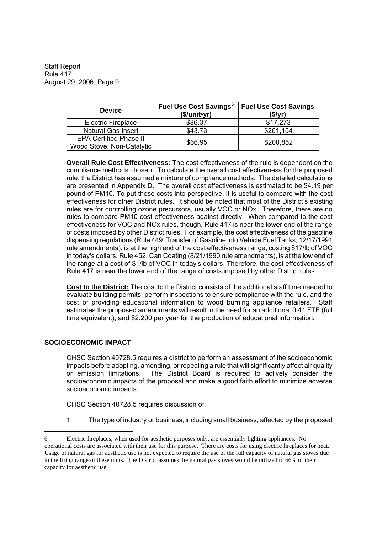| <b>Device</b>                 | <b>Fuel Use Cost Savings</b> <sup>6</sup><br>(\$/unit•yr) | <b>Fuel Use Cost Savings</b><br>(S/yr) |  |
|-------------------------------|-----------------------------------------------------------|----------------------------------------|--|
| <b>Electric Fireplace</b>     | \$86.37                                                   | \$17,273                               |  |
| <b>Natural Gas Insert</b>     | \$43.73                                                   | \$201,154                              |  |
| <b>EPA Certified Phase II</b> | \$66.95                                                   | \$200,852                              |  |
| Wood Stove, Non-Catalytic     |                                                           |                                        |  |

**Overall Rule Cost Effectiveness:** The cost effectiveness of the rule is dependent on the compliance methods chosen. To calculate the overall cost effectiveness for the proposed rule, the District has assumed a mixture of compliance methods. The detailed calculations are presented in Appendix D. The overall cost effectiveness is estimated to be \$4.19 per pound of PM10. To put these costs into perspective, it is useful to compare with the cost effectiveness for other District rules. It should be noted that most of the District's existing rules are for controlling ozone precursors, usually VOC or NOx. Therefore, there are no rules to compare PM10 cost effectiveness against directly. When compared to the cost effectiveness for VOC and NOx rules, though, Rule 417 is near the lower end of the range of costs imposed by other District rules. For example, the cost effectiveness of the gasoline dispensing regulations (Rule 449, Transfer of Gasoline into Vehicle Fuel Tanks; 12/17/1991 rule amendments), is at the high end of the cost effectiveness range, costing \$17/lb of VOC in today's dollars. Rule 452, Can Coating (8/21/1990 rule amendments), is at the low end of the range at a cost of \$1/lb of VOC in today's dollars. Therefore, the cost effectiveness of Rule 417 is near the lower end of the range of costs imposed by other District rules.

**Cost to the District:** The cost to the District consists of the additional staff time needed to evaluate building permits, perform inspections to ensure compliance with the rule, and the cost of providing educational information to wood burning appliance retailers. Staff estimates the proposed amendments will result in the need for an additional 0.41 FTE (full time equivalent), and \$2,200 per year for the production of educational information.

### **SOCIOECONOMIC IMPACT**

CHSC Section 40728.5 requires a district to perform an assessment of the socioeconomic impacts before adopting, amending, or repealing a rule that will significantly affect air quality or emission limitations. The District Board is required to actively consider the socioeconomic impacts of the proposal and make a good faith effort to minimize adverse socioeconomic impacts.

CHSC Section 40728.5 requires discussion of:

1. The type of industry or business, including small business, affected by the proposed

<sup>6</sup> Electric fireplaces, when used for aesthetic purposes only, are essentially lighting appliances. No operational costs are associated with their use for this purpose. There are costs for using electric fireplaces for heat. Usage of natural gas for aesthetic use is not expected to require the use of the full capacity of natural gas stoves due to the firing range of these units. The District assumes the natural gas stoves would be utilized to 66% of their capacity for aesthetic use.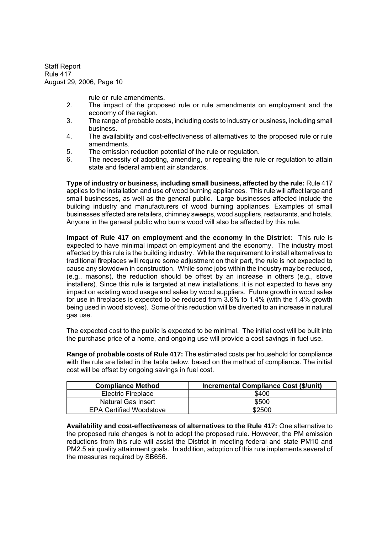rule or rule amendments.

- 2. The impact of the proposed rule or rule amendments on employment and the economy of the region.
- 3. The range of probable costs, including costs to industry or business, including small business.
- 4. The availability and cost-effectiveness of alternatives to the proposed rule or rule amendments.
- 5. The emission reduction potential of the rule or regulation.
- 6. The necessity of adopting, amending, or repealing the rule or regulation to attain state and federal ambient air standards.

**Type of industry or business, including small business, affected by the rule:** Rule 417 applies to the installation and use of wood burning appliances. This rule will affect large and small businesses, as well as the general public. Large businesses affected include the building industry and manufacturers of wood burning appliances. Examples of small businesses affected are retailers, chimney sweeps, wood suppliers, restaurants, and hotels. Anyone in the general public who burns wood will also be affected by this rule.

**Impact of Rule 417 on employment and the economy in the District:** This rule is expected to have minimal impact on employment and the economy. The industry most affected by this rule is the building industry. While the requirement to install alternatives to traditional fireplaces will require some adjustment on their part, the rule is not expected to cause any slowdown in construction. While some jobs within the industry may be reduced, (e.g., masons), the reduction should be offset by an increase in others (e.g., stove installers). Since this rule is targeted at new installations, it is not expected to have any impact on existing wood usage and sales by wood suppliers. Future growth in wood sales for use in fireplaces is expected to be reduced from 3.6% to 1.4% (with the 1.4% growth being used in wood stoves). Some of this reduction will be diverted to an increase in natural gas use.

The expected cost to the public is expected to be minimal. The initial cost will be built into the purchase price of a home, and ongoing use will provide a cost savings in fuel use.

**Range of probable costs of Rule 417:** The estimated costs per household for compliance with the rule are listed in the table below, based on the method of compliance. The initial cost will be offset by ongoing savings in fuel cost.

| <b>Compliance Method</b>       | <b>Incremental Compliance Cost (\$/unit)</b> |
|--------------------------------|----------------------------------------------|
| <b>Electric Fireplace</b>      | \$400                                        |
| Natural Gas Insert             | \$500                                        |
| <b>EPA Certified Woodstove</b> | \$2500                                       |

**Availability and cost-effectiveness of alternatives to the Rule 417:** One alternative to the proposed rule changes is not to adopt the proposed rule. However, the PM emission reductions from this rule will assist the District in meeting federal and state PM10 and PM2.5 air quality attainment goals. In addition, adoption of this rule implements several of the measures required by SB656.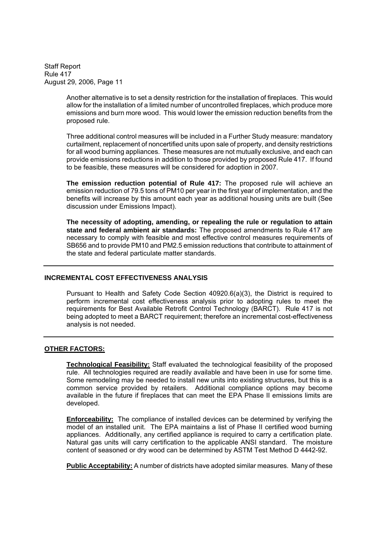> Another alternative is to set a density restriction for the installation of fireplaces. This would allow for the installation of a limited number of uncontrolled fireplaces, which produce more emissions and burn more wood. This would lower the emission reduction benefits from the proposed rule.

> Three additional control measures will be included in a Further Study measure: mandatory curtailment, replacement of noncertified units upon sale of property, and density restrictions for all wood burning appliances. These measures are not mutually exclusive, and each can provide emissions reductions in addition to those provided by proposed Rule 417. If found to be feasible, these measures will be considered for adoption in 2007.

> **The emission reduction potential of Rule 417:** The proposed rule will achieve an emission reduction of 79.5 tons of PM10 per year in the first year of implementation, and the benefits will increase by this amount each year as additional housing units are built (See discussion under Emissions Impact).

> **The necessity of adopting, amending, or repealing the rule or regulation to attain state and federal ambient air standards:** The proposed amendments to Rule 417 are necessary to comply with feasible and most effective control measures requirements of SB656 and to provide PM10 and PM2.5 emission reductions that contribute to attainment of the state and federal particulate matter standards.

# **INCREMENTAL COST EFFECTIVENESS ANALYSIS**

Pursuant to Health and Safety Code Section 40920.6(a)(3), the District is required to perform incremental cost effectiveness analysis prior to adopting rules to meet the requirements for Best Available Retrofit Control Technology (BARCT). Rule 417 is not being adopted to meet a BARCT requirement; therefore an incremental cost-effectiveness analysis is not needed.

### **OTHER FACTORS:**

**Technological Feasibility:** Staff evaluated the technological feasibility of the proposed rule. All technologies required are readily available and have been in use for some time. Some remodeling may be needed to install new units into existing structures, but this is a common service provided by retailers. Additional compliance options may become available in the future if fireplaces that can meet the EPA Phase II emissions limits are developed.

**Enforceability:** The compliance of installed devices can be determined by verifying the model of an installed unit. The EPA maintains a list of Phase II certified wood burning appliances. Additionally, any certified appliance is required to carry a certification plate. Natural gas units will carry certification to the applicable ANSI standard. The moisture content of seasoned or dry wood can be determined by ASTM Test Method D 4442-92.

**Public Acceptability:** A number of districts have adopted similar measures. Many of these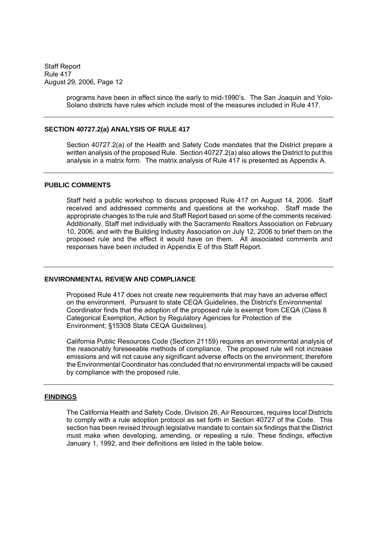> programs have been in effect since the early to mid-1990's. The San Joaquin and Yolo-Solano districts have rules which include most of the measures included in Rule 417.

### **SECTION 40727.2(a) ANALYSIS OF RULE 417**

Section 40727.2(a) of the Health and Safety Code mandates that the District prepare a written analysis of the proposed Rule. Section 40727.2(a) also allows the District to put this analysis in a matrix form. The matrix analysis of Rule 417 is presented as Appendix A.

#### **PUBLIC COMMENTS**

Staff held a public workshop to discuss proposed Rule 417 on August 14, 2006. Staff received and addressed comments and questions at the workshop. Staff made the appropriate changes to the rule and Staff Report based on some of the comments received. Additionally, Staff met individually with the Sacramento Realtors Association on February 10, 2006, and with the Building Industry Association on July 12, 2006 to brief them on the proposed rule and the effect it would have on them. All associated comments and responses have been included in Appendix E of this Staff Report.

#### **ENVIRONMENTAL REVIEW AND COMPLIANCE**

Proposed Rule 417 does not create new requirements that may have an adverse effect on the environment. Pursuant to state CEQA Guidelines, the District's Environmental Coordinator finds that the adoption of the proposed rule is exempt from CEQA (Class 8 Categorical Exemption, Action by Regulatory Agencies for Protection of the Environment; §15308 State CEQA Guidelines).

California Public Resources Code (Section 21159) requires an environmental analysis of the reasonably foreseeable methods of compliance. The proposed rule will not increase emissions and will not cause any significant adverse effects on the environment; therefore the Environmental Coordinator has concluded that no environmental impacts will be caused by compliance with the proposed rule.

#### **FINDINGS**

The California Health and Safety Code, Division 26, Air Resources, requires local Districts to comply with a rule adoption protocol as set forth in Section 40727 of the Code. This section has been revised through legislative mandate to contain six findings that the District must make when developing, amending, or repealing a rule. These findings, effective January 1, 1992, and their definitions are listed in the table below.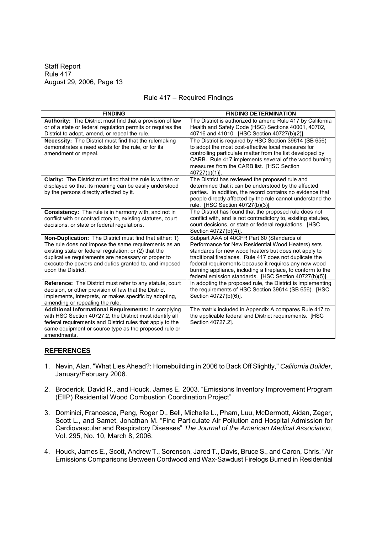### Rule 417 - Required Findings

| <b>FINDING</b>                                                                                                                                                                                                                                                                                                 | <b>FINDING DETERMINATION</b>                                                                                                                                                                                                                                                                                                                                                                          |
|----------------------------------------------------------------------------------------------------------------------------------------------------------------------------------------------------------------------------------------------------------------------------------------------------------------|-------------------------------------------------------------------------------------------------------------------------------------------------------------------------------------------------------------------------------------------------------------------------------------------------------------------------------------------------------------------------------------------------------|
| Authority: The District must find that a provision of law<br>or of a state or federal regulation permits or requires the<br>District to adopt, amend, or repeal the rule.                                                                                                                                      | The District is authorized to amend Rule 417 by California<br>Health and Safety Code (HSC) Sections 40001, 40702,<br>40716 and 41010. [HSC Section 40727(b)(2)].                                                                                                                                                                                                                                      |
| Necessity: The District must find that the rulemaking<br>demonstrates a need exists for the rule, or for its<br>amendment or repeal.                                                                                                                                                                           | The District is required by HSC Section 39614 (SB 656)<br>to adopt the most cost-effective local measures for<br>controlling particulate matter from the list developed by<br>CARB. Rule 417 implements several of the wood burning<br>measures from the CARB list. [HSC Section<br>$40727(b)(1)$ ].                                                                                                  |
| Clarity: The District must find that the rule is written or<br>displayed so that its meaning can be easily understood<br>by the persons directly affected by it.                                                                                                                                               | The District has reviewed the proposed rule and<br>determined that it can be understood by the affected<br>parties. In addition, the record contains no evidence that<br>people directly affected by the rule cannot understand the<br>rule. [HSC Section 40727(b)(3)].                                                                                                                               |
| Consistency: The rule is in harmony with, and not in<br>conflict with or contradictory to, existing statutes, court<br>decisions, or state or federal regulations.                                                                                                                                             | The District has found that the proposed rule does not<br>conflict with, and is not contradictory to, existing statutes,<br>court decisions, or state or federal regulations. [HSC<br>Section 40727(b)(4)].                                                                                                                                                                                           |
| Non-Duplication: The District must find that either: 1)<br>The rule does not impose the same requirements as an<br>existing state or federal regulation; or (2) that the<br>duplicative requirements are necessary or proper to<br>execute the powers and duties granted to, and imposed<br>upon the District. | Subpart AAA of 40CFR Part 60 (Standards of<br>Performance for New Residential Wood Heaters) sets<br>standards for new wood heaters but does not apply to<br>traditional fireplaces. Rule 417 does not duplicate the<br>federal requirements because it requires any new wood<br>burning appliance, including a fireplace, to conform to the<br>federal emission standards. [HSC Section 40727(b)(5)]. |
| Reference: The District must refer to any statute, court<br>decision, or other provision of law that the District<br>implements, interprets, or makes specific by adopting,<br>amending or repealing the rule.                                                                                                 | In adopting the proposed rule, the District is implementing<br>the requirements of HSC Section 39614 (SB 656). [HSC<br>Section 40727(b)(6)].                                                                                                                                                                                                                                                          |
| Additional Informational Requirements: In complying<br>with HSC Section 40727.2, the District must identify all<br>federal requirements and District rules that apply to the<br>same equipment or source type as the proposed rule or<br>amendments.                                                           | The matrix included in Appendix A compares Rule 417 to<br>the applicable federal and District requirements. [HSC<br>Section 40727.2].                                                                                                                                                                                                                                                                 |

# **REFERENCES**

- 1. Nevin, Alan. "What Lies Ahead?: Homebuilding in 2006 to Back Off Slightly," *California Builder,* January/February 2006.
- 2. Broderick, David R., and Houck, James E. 2003. "Emissions Inventory Improvement Program (EIIP) Residential Wood Combustion Coordination Project
- 3. Dominici, Francesca, Peng, Roger D., Bell, Michelle L., Pham, Luu, McDermott, Aidan, Zeger, Scott L., and Samet, Jonathan M. "Fine Particulate Air Pollution and Hospital Admission for Cardiovascular and Respiratory Diseases *The Journal of the American Medical Association*, Vol. 295, No. 10, March 8, 2006.
- 4. Houck, James E., Scott, Andrew T., Sorenson, Jared T., Davis, Bruce S., and Caron, Chris. "Air Emissions Comparisons Between Cordwood and Wax-Sawdust Firelogs Burned in Residential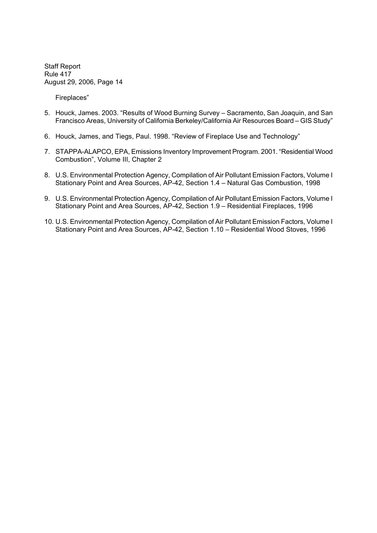Fireplaces

- 5. Houck, James. 2003. "Results of Wood Burning Survey Sacramento, San Joaquin, and San Francisco Areas, University of California Berkeley/California Air Resources Board - GIS Study"
- 6. Houck, James, and Tiegs, Paul. 1998. "Review of Fireplace Use and Technology"
- 7. STAPPA-ALAPCO, EPA, Emissions Inventory Improvement Program. 2001. "Residential Wood Combustion", Volume III, Chapter 2
- 8. U.S. Environmental Protection Agency, Compilation of Air Pollutant Emission Factors, Volume I Stationary Point and Area Sources, AP-42, Section 1.4 - Natural Gas Combustion, 1998
- 9. U.S. Environmental Protection Agency, Compilation of Air Pollutant Emission Factors, Volume I Stationary Point and Area Sources, AP-42, Section 1.9 - Residential Fireplaces, 1996
- 10. U.S. Environmental Protection Agency, Compilation of Air Pollutant Emission Factors, Volume I Stationary Point and Area Sources, AP-42, Section 1.10 - Residential Wood Stoves, 1996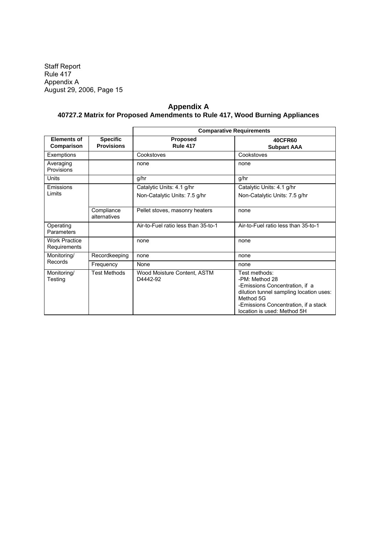Staff Report Rule 417 Appendix A August 29, 2006, Page 15

# **Appendix A 40727.2 Matrix for Proposed Amendments to Rule 417, Wood Burning Appliances**

|                                      |                                      | <b>Comparative Requirements</b>         |                                                                                                                                                                                                  |  |
|--------------------------------------|--------------------------------------|-----------------------------------------|--------------------------------------------------------------------------------------------------------------------------------------------------------------------------------------------------|--|
| <b>Elements of</b><br>Comparison     | <b>Specific</b><br><b>Provisions</b> | Proposed<br><b>Rule 417</b>             | <b>40CFR60</b><br><b>Subpart AAA</b>                                                                                                                                                             |  |
| Exemptions                           |                                      | Cookstoves                              | Cookstoves                                                                                                                                                                                       |  |
| Averaging<br>Provisions              |                                      | none                                    | none                                                                                                                                                                                             |  |
| Units                                |                                      | g/hr                                    | g/hr                                                                                                                                                                                             |  |
| Emissions                            |                                      | Catalytic Units: 4.1 g/hr               | Catalytic Units: 4.1 g/hr                                                                                                                                                                        |  |
| Limits                               |                                      | Non-Catalytic Units: 7.5 g/hr           | Non-Catalytic Units: 7.5 g/hr                                                                                                                                                                    |  |
|                                      | Compliance<br>alternatives           | Pellet stoves, masonry heaters          | none                                                                                                                                                                                             |  |
| Operating<br>Parameters              |                                      | Air-to-Fuel ratio less than 35-to-1     | Air-to-Fuel ratio less than 35-to-1                                                                                                                                                              |  |
| <b>Work Practice</b><br>Requirements |                                      | none                                    | none                                                                                                                                                                                             |  |
| Monitoring/                          | Recordkeeping                        | none                                    | none                                                                                                                                                                                             |  |
| Records                              | Frequency                            | None                                    | none                                                                                                                                                                                             |  |
| Monitoring/<br>Testing               | <b>Test Methods</b>                  | Wood Moisture Content, ASTM<br>D4442-92 | Test methods:<br>-PM: Method 28<br>-Emissions Concentration, if a<br>dilution tunnel sampling location uses:<br>Method 5G<br>-Emissions Concentration, if a stack<br>location is used: Method 5H |  |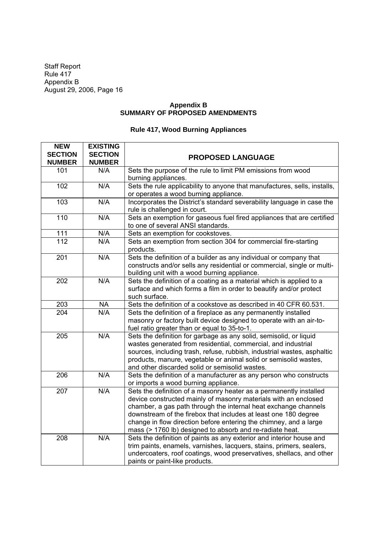Staff Report Rule 417 Appendix B August 29, 2006, Page 16

# **Appendix B SUMMARY OF PROPOSED AMENDMENTS**

# **Rule 417, Wood Burning Appliances**

| <b>NEW</b>       | <b>EXISTING</b> |                                                                           |
|------------------|-----------------|---------------------------------------------------------------------------|
| <b>SECTION</b>   | <b>SECTION</b>  | <b>PROPOSED LANGUAGE</b>                                                  |
| <b>NUMBER</b>    | <b>NUMBER</b>   |                                                                           |
| 101              | N/A             | Sets the purpose of the rule to limit PM emissions from wood              |
|                  |                 | burning appliances.                                                       |
| 102              | N/A             | Sets the rule applicability to anyone that manufactures, sells, installs, |
|                  |                 | or operates a wood burning appliance.                                     |
| 103              | N/A             | Incorporates the District's standard severability language in case the    |
|                  |                 | rule is challenged in court.                                              |
| 110              | N/A             | Sets an exemption for gaseous fuel fired appliances that are certified    |
|                  |                 | to one of several ANSI standards.                                         |
| 111              | N/A             | Sets an exemption for cookstoves.                                         |
| 112              | N/A             | Sets an exemption from section 304 for commercial fire-starting           |
|                  |                 | products.                                                                 |
| 201              | N/A             | Sets the definition of a builder as any individual or company that        |
|                  |                 | constructs and/or sells any residential or commercial, single or multi-   |
|                  |                 | building unit with a wood burning appliance.                              |
| 202              | N/A             | Sets the definition of a coating as a material which is applied to a      |
|                  |                 | surface and which forms a film in order to beautify and/or protect        |
|                  |                 | such surface.                                                             |
| 203              | <b>NA</b>       | Sets the definition of a cookstove as described in 40 CFR 60.531.         |
| 204              | N/A             | Sets the definition of a fireplace as any permanently installed           |
|                  |                 | masonry or factory built device designed to operate with an air-to-       |
|                  |                 | fuel ratio greater than or equal to 35-to-1.                              |
| 205              | N/A             | Sets the definition for garbage as any solid, semisolid, or liquid        |
|                  |                 | wastes generated from residential, commercial, and industrial             |
|                  |                 | sources, including trash, refuse, rubbish, industrial wastes, asphaltic   |
|                  |                 | products, manure, vegetable or animal solid or semisolid wastes,          |
|                  |                 | and other discarded solid or semisolid wastes.                            |
| 206              | N/A             | Sets the definition of a manufacturer as any person who constructs        |
|                  |                 | or imports a wood burning appliance.                                      |
| $\overline{207}$ | N/A             | Sets the definition of a masonry heater as a permanently installed        |
|                  |                 | device constructed mainly of masonry materials with an enclosed           |
|                  |                 | chamber, a gas path through the internal heat exchange channels           |
|                  |                 | downstream of the firebox that includes at least one 180 degree           |
|                  |                 | change in flow direction before entering the chimney, and a large         |
|                  |                 | mass (> 1760 lb) designed to absorb and re-radiate heat.                  |
| 208              | N/A             | Sets the definition of paints as any exterior and interior house and      |
|                  |                 | trim paints, enamels, varnishes, lacquers, stains, primers, sealers,      |
|                  |                 | undercoaters, roof coatings, wood preservatives, shellacs, and other      |
|                  |                 | paints or paint-like products.                                            |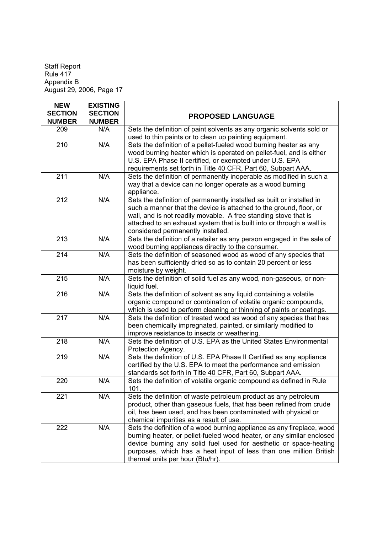Staff Report Rule 417 Appendix B August 29, 2006, Page 17

| <b>NEW</b>       | <b>EXISTING</b>                   |                                                                         |
|------------------|-----------------------------------|-------------------------------------------------------------------------|
| <b>SECTION</b>   | <b>SECTION</b>                    | <b>PROPOSED LANGUAGE</b>                                                |
| <b>NUMBER</b>    | <b>NUMBER</b>                     |                                                                         |
| 209              | N/A                               | Sets the definition of paint solvents as any organic solvents sold or   |
|                  |                                   | used to thin paints or to clean up painting equipment.                  |
| $\overline{210}$ | N/A                               | Sets the definition of a pellet-fueled wood burning heater as any       |
|                  |                                   | wood burning heater which is operated on pellet-fuel, and is either     |
|                  |                                   | U.S. EPA Phase II certified, or exempted under U.S. EPA                 |
|                  |                                   | requirements set forth in Title 40 CFR, Part 60, Subpart AAA.           |
| 211              | N/A                               | Sets the definition of permanently inoperable as modified in such a     |
|                  |                                   | way that a device can no longer operate as a wood burning               |
|                  |                                   | appliance.                                                              |
| 212              | N/A                               | Sets the definition of permanently installed as built or installed in   |
|                  |                                   | such a manner that the device is attached to the ground, floor, or      |
|                  |                                   | wall, and is not readily movable. A free standing stove that is         |
|                  |                                   | attached to an exhaust system that is built into or through a wall is   |
|                  |                                   | considered permanently installed.                                       |
| 213              | N/A                               | Sets the definition of a retailer as any person engaged in the sale of  |
|                  |                                   | wood burning appliances directly to the consumer.                       |
| 214              | N/A                               | Sets the definition of seasoned wood as wood of any species that        |
|                  |                                   | has been sufficiently dried so as to contain 20 percent or less         |
|                  |                                   | moisture by weight.                                                     |
| 215              | N/A                               | Sets the definition of solid fuel as any wood, non-gaseous, or non-     |
|                  |                                   | liquid fuel.                                                            |
| 216              | N/A                               | Sets the definition of solvent as any liquid containing a volatile      |
|                  |                                   | organic compound or combination of volatile organic compounds,          |
|                  |                                   | which is used to perform cleaning or thinning of paints or coatings.    |
| $\overline{217}$ | N/A                               | Sets the definition of treated wood as wood of any species that has     |
|                  |                                   | been chemically impregnated, painted, or similarly modified to          |
|                  |                                   | improve resistance to insects or weathering.                            |
| 218              | N/A                               | Sets the definition of U.S. EPA as the United States Environmental      |
|                  |                                   | Protection Agency.                                                      |
| 219              | $\overline{\mathsf{N}}\mathsf{A}$ | Sets the definition of U.S. EPA Phase II Certified as any appliance     |
|                  |                                   | certified by the U.S. EPA to meet the performance and emission          |
|                  |                                   | standards set forth in Title 40 CFR, Part 60, Subpart AAA.              |
| 220              | N/A                               | Sets the definition of volatile organic compound as defined in Rule     |
| 221              | N/A                               | 101.<br>Sets the definition of waste petroleum product as any petroleum |
|                  |                                   | product, other than gaseous fuels, that has been refined from crude     |
|                  |                                   | oil, has been used, and has been contaminated with physical or          |
|                  |                                   | chemical impurities as a result of use.                                 |
| 222              | N/A                               | Sets the definition of a wood burning appliance as any fireplace, wood  |
|                  |                                   | burning heater, or pellet-fueled wood heater, or any similar enclosed   |
|                  |                                   | device burning any solid fuel used for aesthetic or space-heating       |
|                  |                                   | purposes, which has a heat input of less than one million British       |
|                  |                                   | thermal units per hour (Btu/hr).                                        |
|                  |                                   |                                                                         |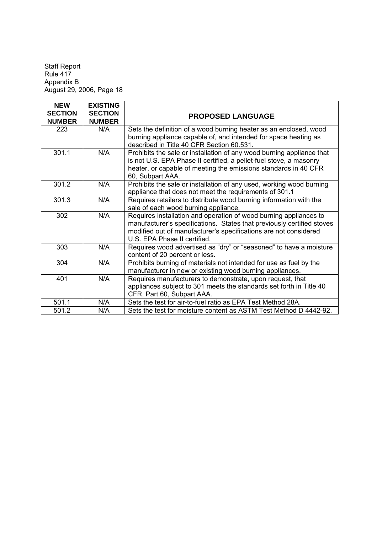Staff Report Rule 417 Appendix B August 29, 2006, Page 18

| <b>NEW</b>                      | <b>EXISTING</b>                 |                                                                                                                                                                                                                                                 |
|---------------------------------|---------------------------------|-------------------------------------------------------------------------------------------------------------------------------------------------------------------------------------------------------------------------------------------------|
| <b>SECTION</b><br><b>NUMBER</b> | <b>SECTION</b><br><b>NUMBER</b> | <b>PROPOSED LANGUAGE</b>                                                                                                                                                                                                                        |
| 223                             | N/A                             | Sets the definition of a wood burning heater as an enclosed, wood<br>burning appliance capable of, and intended for space heating as<br>described in Title 40 CFR Section 60.531.                                                               |
| 301.1                           | N/A                             | Prohibits the sale or installation of any wood burning appliance that<br>is not U.S. EPA Phase II certified, a pellet-fuel stove, a masonry<br>heater, or capable of meeting the emissions standards in 40 CFR<br>60, Subpart AAA.              |
| 301.2                           | N/A                             | Prohibits the sale or installation of any used, working wood burning<br>appliance that does not meet the requirements of 301.1                                                                                                                  |
| 301.3                           | N/A                             | Requires retailers to distribute wood burning information with the<br>sale of each wood burning appliance.                                                                                                                                      |
| 302                             | N/A                             | Requires installation and operation of wood burning appliances to<br>manufacturer's specifications. States that previously certified stoves<br>modified out of manufacturer's specifications are not considered<br>U.S. EPA Phase II certified. |
| 303                             | N/A                             | Requires wood advertised as "dry" or "seasoned" to have a moisture<br>content of 20 percent or less.                                                                                                                                            |
| 304                             | N/A                             | Prohibits burning of materials not intended for use as fuel by the<br>manufacturer in new or existing wood burning appliances.                                                                                                                  |
| 401                             | N/A                             | Requires manufacturers to demonstrate, upon request, that<br>appliances subject to 301 meets the standards set forth in Title 40<br>CFR, Part 60, Subpart AAA.                                                                                  |
| 501.1                           | N/A                             | Sets the test for air-to-fuel ratio as EPA Test Method 28A.                                                                                                                                                                                     |
| 501.2                           | N/A                             | Sets the test for moisture content as ASTM Test Method D 4442-92.                                                                                                                                                                               |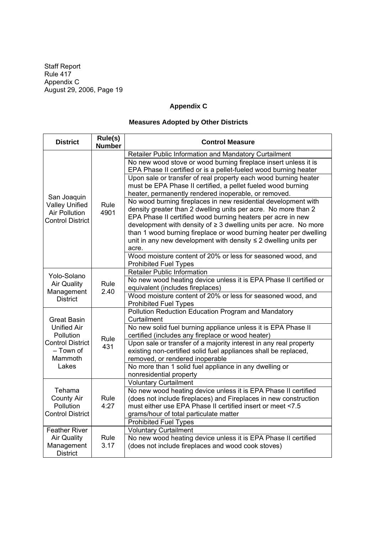Staff Report Rule 417 Appendix C August 29, 2006, Page 19

# **Appendix C**

# **Measures Adopted by Other Districts**

| <b>District</b>                                                                                                          | Rule(s)<br><b>Number</b> | <b>Control Measure</b>                                                                                                                                                                                                                                                                                                                                                                                                                                                                                                                                                                                                                                                                                                                                                                                                                                                                   |
|--------------------------------------------------------------------------------------------------------------------------|--------------------------|------------------------------------------------------------------------------------------------------------------------------------------------------------------------------------------------------------------------------------------------------------------------------------------------------------------------------------------------------------------------------------------------------------------------------------------------------------------------------------------------------------------------------------------------------------------------------------------------------------------------------------------------------------------------------------------------------------------------------------------------------------------------------------------------------------------------------------------------------------------------------------------|
| San Joaquin<br><b>Valley Unified</b><br><b>Air Pollution</b><br><b>Control District</b>                                  | Rule<br>4901             | Retailer Public Information and Mandatory Curtailment<br>No new wood stove or wood burning fireplace insert unless it is<br>EPA Phase II certified or is a pellet-fueled wood burning heater<br>Upon sale or transfer of real property each wood burning heater<br>must be EPA Phase II certified, a pellet fueled wood burning<br>heater, permanently rendered inoperable, or removed.<br>No wood burning fireplaces in new residential development with<br>density greater than 2 dwelling units per acre. No more than 2<br>EPA Phase II certified wood burning heaters per acre in new<br>development with density of $\geq$ 3 dwelling units per acre. No more<br>than 1 wood burning fireplace or wood burning heater per dwelling<br>unit in any new development with density $\leq 2$ dwelling units per<br>acre.<br>Wood moisture content of 20% or less for seasoned wood, and |
| Yolo-Solano<br><b>Air Quality</b><br>Management<br><b>District</b>                                                       | Rule<br>2.40             | <b>Prohibited Fuel Types</b><br><b>Retailer Public Information</b><br>No new wood heating device unless it is EPA Phase II certified or<br>equivalent (includes fireplaces)<br>Wood moisture content of 20% or less for seasoned wood, and<br><b>Prohibited Fuel Types</b>                                                                                                                                                                                                                                                                                                                                                                                                                                                                                                                                                                                                               |
| <b>Great Basin</b><br><b>Unified Air</b><br><b>Pollution</b><br><b>Control District</b><br>- Town of<br>Mammoth<br>Lakes | Rule<br>431              | Pollution Reduction Education Program and Mandatory<br>Curtailment<br>No new solid fuel burning appliance unless it is EPA Phase II<br>certified (includes any fireplace or wood heater)<br>Upon sale or transfer of a majority interest in any real property<br>existing non-certified solid fuel appliances shall be replaced,<br>removed, or rendered inoperable<br>No more than 1 solid fuel appliance in any dwelling or<br>nonresidential property                                                                                                                                                                                                                                                                                                                                                                                                                                 |
| Tehama<br><b>County Air</b><br>Pollution<br><b>Control District</b>                                                      | Rule<br>4:27             | <b>Voluntary Curtailment</b><br>No new wood heating device unless it is EPA Phase II certified<br>(does not include fireplaces) and Fireplaces in new construction<br>must either use EPA Phase II certified insert or meet <7.5<br>grams/hour of total particulate matter<br><b>Prohibited Fuel Types</b>                                                                                                                                                                                                                                                                                                                                                                                                                                                                                                                                                                               |
| <b>Feather River</b><br><b>Air Quality</b><br>Management<br><b>District</b>                                              | Rule<br>3.17             | <b>Voluntary Curtailment</b><br>No new wood heating device unless it is EPA Phase II certified<br>(does not include fireplaces and wood cook stoves)                                                                                                                                                                                                                                                                                                                                                                                                                                                                                                                                                                                                                                                                                                                                     |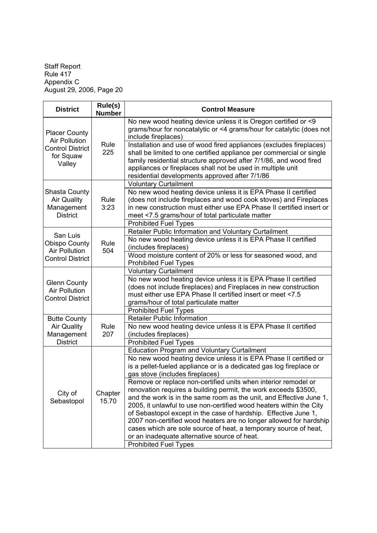Staff Report Rule 417 Appendix C August 29, 2006, Page 20

| <b>District</b>                                                                                               | Rule(s)<br><b>Number</b>                                                                                                                                                                                                                                                                                                           | <b>Control Measure</b>                                                                                                                                                                                                                                                                                                                                                                                                                                                                                                                                                                                                                                                                                                                                                                                            |
|---------------------------------------------------------------------------------------------------------------|------------------------------------------------------------------------------------------------------------------------------------------------------------------------------------------------------------------------------------------------------------------------------------------------------------------------------------|-------------------------------------------------------------------------------------------------------------------------------------------------------------------------------------------------------------------------------------------------------------------------------------------------------------------------------------------------------------------------------------------------------------------------------------------------------------------------------------------------------------------------------------------------------------------------------------------------------------------------------------------------------------------------------------------------------------------------------------------------------------------------------------------------------------------|
| <b>Placer County</b><br><b>Air Pollution</b><br>Rule<br><b>Control District</b><br>225<br>for Squaw<br>Valley | No new wood heating device unless it is Oregon certified or <9<br>grams/hour for noncatalytic or <4 grams/hour for catalytic (does not<br>include fireplaces)                                                                                                                                                                      |                                                                                                                                                                                                                                                                                                                                                                                                                                                                                                                                                                                                                                                                                                                                                                                                                   |
|                                                                                                               | Installation and use of wood fired appliances (excludes fireplaces)<br>shall be limited to one certified appliance per commercial or single<br>family residential structure approved after 7/1/86, and wood fired<br>appliances or fireplaces shall not be used in multiple unit<br>residential developments approved after 7/1/86 |                                                                                                                                                                                                                                                                                                                                                                                                                                                                                                                                                                                                                                                                                                                                                                                                                   |
| Shasta County<br><b>Air Quality</b><br>Management<br><b>District</b>                                          | Rule<br>3:23                                                                                                                                                                                                                                                                                                                       | <b>Voluntary Curtailment</b><br>No new wood heating device unless it is EPA Phase II certified<br>(does not include fireplaces and wood cook stoves) and Fireplaces<br>in new construction must either use EPA Phase II certified insert or<br>meet <7.5 grams/hour of total particulate matter<br><b>Prohibited Fuel Types</b>                                                                                                                                                                                                                                                                                                                                                                                                                                                                                   |
| San Luis<br><b>Obispo County</b><br><b>Air Pollution</b><br><b>Control District</b>                           | Rule<br>504                                                                                                                                                                                                                                                                                                                        | Retailer Public Information and Voluntary Curtailment<br>No new wood heating device unless it is EPA Phase II certified<br>(includes fireplaces)<br>Wood moisture content of 20% or less for seasoned wood, and<br><b>Prohibited Fuel Types</b>                                                                                                                                                                                                                                                                                                                                                                                                                                                                                                                                                                   |
| <b>Glenn County</b><br><b>Air Pollution</b><br><b>Control District</b>                                        |                                                                                                                                                                                                                                                                                                                                    | <b>Voluntary Curtailment</b><br>No new wood heating device unless it is EPA Phase II certified<br>(does not include fireplaces) and Fireplaces in new construction<br>must either use EPA Phase II certified insert or meet <7.5<br>grams/hour of total particulate matter<br><b>Prohibited Fuel Types</b>                                                                                                                                                                                                                                                                                                                                                                                                                                                                                                        |
| <b>Butte County</b><br><b>Air Quality</b><br>Management<br><b>District</b>                                    | Rule<br>207                                                                                                                                                                                                                                                                                                                        | <b>Retailer Public Information</b><br>No new wood heating device unless it is EPA Phase II certified<br>(includes fireplaces)<br><b>Prohibited Fuel Types</b>                                                                                                                                                                                                                                                                                                                                                                                                                                                                                                                                                                                                                                                     |
| City of<br>Sebastopol                                                                                         | Chapter<br>15.70                                                                                                                                                                                                                                                                                                                   | <b>Education Program and Voluntary Curtailment</b><br>No new wood heating device unless it is EPA Phase II certified or<br>is a pellet-fueled appliance or is a dedicated gas log fireplace or<br>gas stove (includes fireplaces)<br>Remove or replace non-certified units when interior remodel or<br>renovation requires a building permit, the work exceeds \$3500,<br>and the work is in the same room as the unit, and Effective June 1,<br>2005, it unlawful to use non-certified wood heaters within the City<br>of Sebastopol except in the case of hardship. Effective June 1,<br>2007 non-certified wood heaters are no longer allowed for hardship<br>cases which are sole source of heat, a temporary source of heat,<br>or an inadequate alternative source of heat.<br><b>Prohibited Fuel Types</b> |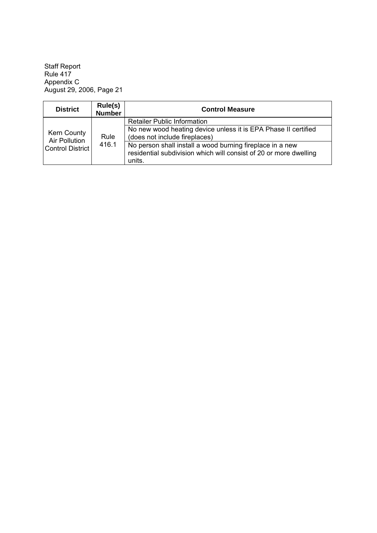Staff Report Rule 417 Appendix C August 29, 2006, Page 21

| <b>District</b>                                         | Rule(s)<br><b>Number</b> | <b>Control Measure</b>                                                                                                                   |
|---------------------------------------------------------|--------------------------|------------------------------------------------------------------------------------------------------------------------------------------|
| Kern County<br>Air Pollution<br><b>Control District</b> |                          | <b>Retailer Public Information</b>                                                                                                       |
|                                                         | Rule<br>416.1            | No new wood heating device unless it is EPA Phase II certified<br>(does not include fireplaces)                                          |
|                                                         |                          | No person shall install a wood burning fireplace in a new<br>residential subdivision which will consist of 20 or more dwelling<br>units. |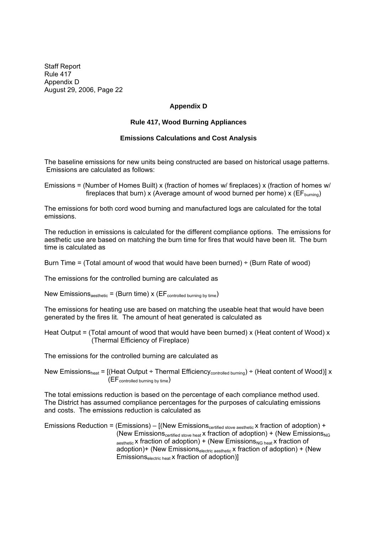Staff Report Rule 417 Appendix D August 29, 2006, Page 22

# **Appendix D**

### **Rule 417, Wood Burning Appliances**

### **Emissions Calculations and Cost Analysis**

The baseline emissions for new units being constructed are based on historical usage patterns. Emissions are calculated as follows:

Emissions = (Number of Homes Built) x (fraction of homes w/ fireplaces) x (fraction of homes w/ fireplaces that burn) x (Average amount of wood burned per home) x ( $EF_{burning}$ )

The emissions for both cord wood burning and manufactured logs are calculated for the total emissions.

The reduction in emissions is calculated for the different compliance options. The emissions for aesthetic use are based on matching the burn time for fires that would have been lit. The burn time is calculated as

Burn Time = (Total amount of wood that would have been burned)  $\div$  (Burn Rate of wood)

The emissions for the controlled burning are calculated as

New Emissions<sub>aesthetic</sub> = (Burn time)  $x$  (EF<sub>controlled burning by time</sub>)

The emissions for heating use are based on matching the useable heat that would have been generated by the fires lit. The amount of heat generated is calculated as

Heat Output = (Total amount of wood that would have been burned) x (Heat content of Wood) x (Thermal Efficiency of Fireplace)

The emissions for the controlled burning are calculated as

New Emissions<sub>heat</sub> = [(Heat Output ÷ Thermal Efficiency<sub>controlled burning</sub>) ÷ (Heat content of Wood)] x  $(EF_{\text{controlled burning by time}})$ 

The total emissions reduction is based on the percentage of each compliance method used. The District has assumed compliance percentages for the purposes of calculating emissions and costs. The emissions reduction is calculated as

Emissions Reduction = (Emissions)  $-$  [(New Emissions<sub>certified stove aesthetic</sub> x fraction of adoption) + (New Emissions<sub>certified stove heat</sub> x fraction of adoption) + (New Emissions<sub>NG</sub>  $a_{\text{esthetic}}$  x fraction of adoption) + (New Emissions<sub>NG heat</sub> x fraction of adoption)+ (New Emissions<sub>electric aesthetic</sub> x fraction of adoption) + (New Emissions<sub>electric heat</sub> x fraction of adoption)]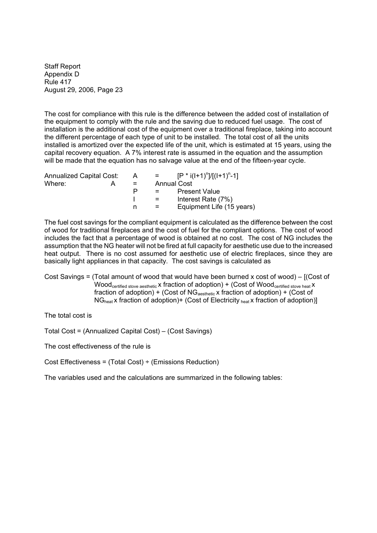The cost for compliance with this rule is the difference between the added cost of installation of the equipment to comply with the rule and the saving due to reduced fuel usage. The cost of installation is the additional cost of the equipment over a traditional fireplace, taking into account the different percentage of each type of unit to be installed. The total cost of all the units installed is amortized over the expected life of the unit, which is estimated at 15 years, using the capital recovery equation. A 7% interest rate is assumed in the equation and the assumption will be made that the equation has no salvage value at the end of the fifteen-year cycle.

| <b>Annualized Capital Cost:</b> |   | $=$ $-$ | $[P * i(l+1)^n]/[(l+1)^n-1]$ |
|---------------------------------|---|---------|------------------------------|
| Where:<br>А                     |   |         | <b>Annual Cost</b>           |
|                                 | P |         | <b>Present Value</b>         |
|                                 |   | $=$     | Interest Rate (7%)           |
|                                 | n | =       | Equipment Life (15 years)    |
|                                 |   | A       |                              |

The fuel cost savings for the compliant equipment is calculated as the difference between the cost of wood for traditional fireplaces and the cost of fuel for the compliant options. The cost of wood includes the fact that a percentage of wood is obtained at no cost. The cost of NG includes the assumption that the NG heater will not be fired at full capacity for aesthetic use due to the increased heat output. There is no cost assumed for aesthetic use of electric fireplaces, since they are basically light appliances in that capacity. The cost savings is calculated as

Cost Savings = (Total amount of wood that would have been burned x cost of wood)  $-$  [(Cost of  $Wood<sub>certified</sub> stove aesthetic X fraction of adoption) + (Cost of Wood<sub>certified</sub> stove heat X)$ fraction of adoption) + (Cost of  $NG<sub>aesthetic</sub>$  x fraction of adoption) + (Cost of  $NG<sub>heat</sub>$  x fraction of adoption)+ (Cost of Electricity  $_{heat}$  x fraction of adoption)]

The total cost is

Total Cost = (Annualized Capital Cost) (Cost Savings)

The cost effectiveness of the rule is

Cost Effectiveness = (Total Cost) ÷ (Emissions Reduction)

The variables used and the calculations are summarized in the following tables: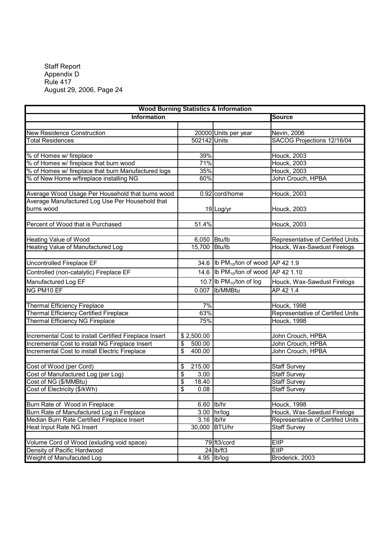| <b>Wood Burning Statistics &amp; Information</b>              |                           |                                            |                                  |  |
|---------------------------------------------------------------|---------------------------|--------------------------------------------|----------------------------------|--|
| <b>Information</b>                                            |                           |                                            | <b>Source</b>                    |  |
|                                                               |                           |                                            |                                  |  |
| <b>New Residence Construction</b>                             |                           | 20000 Units per year                       | Nevin, 2006                      |  |
| <b>Total Residences</b>                                       | 502142 Units              |                                            | SACOG Projections 12/16/04       |  |
|                                                               |                           |                                            |                                  |  |
| % of Homes w/ fireplace                                       | 39%                       |                                            | <b>Houck, 2003</b>               |  |
| % of Homes w/ fireplace that burn wood                        | 71%                       |                                            | <b>Houck, 2003</b>               |  |
| % of Homes w/ fireplace that burn Manufactured logs           | 35%                       |                                            | <b>Houck, 2003</b>               |  |
| % of New Home w/fireplace installing NG                       | 60%                       |                                            | John Crouch, HPBA                |  |
|                                                               |                           |                                            |                                  |  |
| Average Wood Usage Per Household that burns wood              |                           | 0.92 cord/home                             | Houck, 2003                      |  |
| Average Manufactured Log Use Per Household that<br>burns wood |                           | 19 Log/yr                                  | Houck, 2003                      |  |
|                                                               |                           |                                            |                                  |  |
| Percent of Wood that is Purchased                             | 51.4%                     |                                            | <b>Houck, 2003</b>               |  |
|                                                               |                           |                                            |                                  |  |
| Heating Value of Wood                                         | 6,050 Btu/lb              |                                            | Representative of Certifed Units |  |
| <b>Heating Value of Manufactured Log</b>                      | 15,700 Btu/lb             |                                            | Houck, Wax-Sawdust Firelogs      |  |
|                                                               |                           |                                            |                                  |  |
| Uncontrolled Fireplace EF                                     |                           | 34.6 Ib $PM_{10}$ /ton of wood $AP$ 42 1.9 |                                  |  |
| Controlled (non-catalytic) Fireplace EF                       |                           | 14.6 Ib $PM_{10}$ /ton of wood             | AP 42 1.10                       |  |
| Manufactured Log EF                                           |                           | 10.7 Ib $PM_{10}$ /ton of log              | Houck, Wax-Sawdust Firelogs      |  |
| NG PM10 EF                                                    |                           | 0.007 lb/MMBtu                             | AP 42 1.4                        |  |
|                                                               |                           |                                            |                                  |  |
| <b>Thermal Efficiency Fireplace</b>                           | 7%                        |                                            | <b>Houck, 1998</b>               |  |
| <b>Thermal Efficiency Certified Fireplace</b>                 | 63%                       |                                            | Representative of Certifed Units |  |
| Thermal Efficiency NG Fireplace                               | 75%                       |                                            | <b>Houck, 1998</b>               |  |
|                                                               |                           |                                            |                                  |  |
| Incremental Cost to install Certified Fireplace Insert        | \$2,500.00                |                                            | John Crouch, HPBA                |  |
| Incremental Cost to install NG Fireplace Insert               | \$<br>$\overline{500.00}$ |                                            | John Crouch, HPBA                |  |
| Incremental Cost to install Electric Fireplace                | \$<br>400.00              |                                            | John Crouch, HPBA                |  |
|                                                               |                           |                                            |                                  |  |
| Cost of Wood (per Cord)                                       | \$<br>215.00              |                                            | <b>Staff Survey</b>              |  |
| Cost of Manufactured Log (per Log)                            | \$<br>3.00                |                                            | <b>Staff Survey</b>              |  |
| Cost of NG (\$/MMBtu)                                         | \$<br>18.40               |                                            | <b>Staff Survey</b>              |  |
| Cost of Electricity (\$/kWh)                                  | \$<br>0.08                |                                            | <b>Staff Survey</b>              |  |
|                                                               |                           |                                            |                                  |  |
| Burn Rate of Wood in Fireplace                                | 6.60 lb/hr                |                                            | <b>Houck, 1998</b>               |  |
| Burn Rate of Manufactured Log in Fireplace                    |                           | 3.00 hr/log                                | Houck, Wax-Sawdust Firelogs      |  |
| Median Burn Rate Certified Fireplace Insert                   | 3.16 lb/hr                |                                            | Representative of Certifed Units |  |
| <b>Heat Input Rate NG Insert</b>                              | 30,000 BTU/hr             |                                            | <b>Staff Survey</b>              |  |
|                                                               |                           |                                            |                                  |  |
| Volume Cord of Wood (exluding void space)                     |                           | 79 ft3/cord                                | <b>EIIP</b>                      |  |
| Density of Pacific Hardwood                                   |                           | $24$ Ib/ft3                                | EllP                             |  |
| Weight of Manufacuted Log                                     |                           | 4.95 lb/log                                | Broderick, 2003                  |  |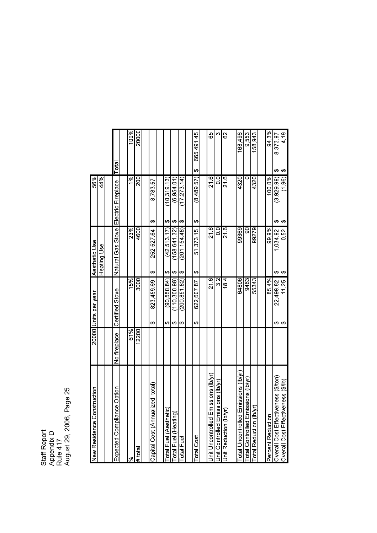Staff Report<br>Assessativ A p p endix  $\Box$ Rule 417 August 2 9, 2 006, P ageლ<br>2

| 419<br>ക        | (1.96)<br>ക        | 0.52<br>ക           | 11.25<br>မာ          |              | Overall Cost Effectiveness (\$/lb)       |
|-----------------|--------------------|---------------------|----------------------|--------------|------------------------------------------|
| 8,373.97<br>ക   | (3,929,99)<br>↔    | 1,034.92<br>ക       | 22,499.82<br>↮       |              | Overall Cost Effectiveness (\$/ton)      |
| 943%            | 100.0%             | 99.9%               | 854%                 |              | Percent Reduction                        |
|                 |                    |                     |                      |              |                                          |
| 158,943         | 4320               | 99279               | 55343                |              | €<br>Total Reduction (lb/)               |
| 9,553           | ▭                  | 90                  | 9463                 |              | issions (lb/yr)<br>Total Controlled Em   |
| 168,496         | 4320               | 99369               | 64806                |              | missions (lb/yr)<br>otal Uncontrolled E  |
|                 |                    |                     |                      |              |                                          |
| 8               | 216                | $\overline{6}$<br>ភ | 18.4                 |              | Unit Reduction (Ib/yr                    |
| ო               | o<br>O             | $\overline{0}$      | 32                   |              | sions (lb/yr)<br>Unit Controlled Emis    |
| 65              | 21.6               | 21.6                | $\frac{8}{21}$       |              | nissions (lb/yr)<br>Jnit Uncontrolled En |
|                 |                    |                     |                      |              |                                          |
| 665,491.45<br>↔ | (8,489,57)<br>↔    | 51, 373 15<br>↔     | 622,607.87<br>↔      |              | Total Cost                               |
|                 |                    |                     |                      |              |                                          |
|                 | (17, 273, 14)<br>↔ | (201, 154, 48)<br>↔ | (200, 851, 82)<br>↮  |              | Total Fuel                               |
|                 | (6, 954, 01)<br>ക  | (158, 641, 32)<br>↔ | (110, 300, 98)<br>ക  |              | Total Fuel (Heating)                     |
|                 | (10.319.13)<br>↔   | (42.513.17)<br>↔    | (90, 550, 84)<br>↔   |              | <b>Total Fuel (Aesthetic</b>             |
|                 |                    |                     |                      |              |                                          |
|                 | 878357<br>↔        | 252,52764<br>↔      | 823,459.69<br>↔      |              | ized, total<br>Capital Cost (Annual      |
|                 |                    |                     |                      |              |                                          |
| 20000           | នី                 | 4600                | 3000                 | 12200        | # total                                  |
| 100%            | $\frac{5}{6}$      | 23%                 | 15%                  | 61%          | ಸ್                                       |
|                 |                    |                     |                      |              |                                          |
| Total           | Electric Fireplace | Natural Gas Stove   | Certified Stove      | No fireplace | e Option<br>Expected Complianc           |
|                 |                    |                     |                      |              |                                          |
|                 | 44%                | Heating Use         |                      |              |                                          |
|                 | 9699               | Aesthetic Use       | 20000 Units per year |              | struction<br>New Residence Con           |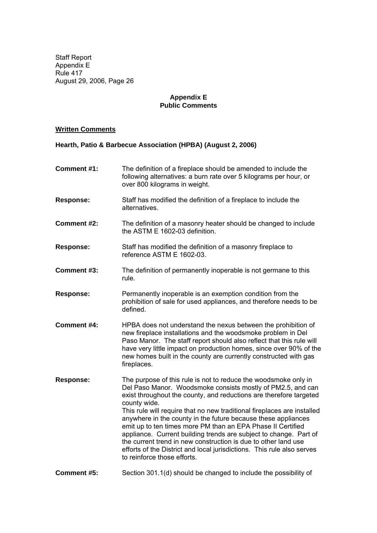# **Appendix E Public Comments**

# **Written Comments**

# **Hearth, Patio & Barbecue Association (HPBA) (August 2, 2006)**

| <b>Comment #1:</b> | The definition of a fireplace should be amended to include the<br>following alternatives: a burn rate over 5 kilograms per hour, or<br>over 800 kilograms in weight.                                                                                                                                                                                                                                                                                                                                                                                                                                                                                                            |
|--------------------|---------------------------------------------------------------------------------------------------------------------------------------------------------------------------------------------------------------------------------------------------------------------------------------------------------------------------------------------------------------------------------------------------------------------------------------------------------------------------------------------------------------------------------------------------------------------------------------------------------------------------------------------------------------------------------|
| <b>Response:</b>   | Staff has modified the definition of a fireplace to include the<br>alternatives.                                                                                                                                                                                                                                                                                                                                                                                                                                                                                                                                                                                                |
| <b>Comment #2:</b> | The definition of a masonry heater should be changed to include<br>the ASTM E 1602-03 definition.                                                                                                                                                                                                                                                                                                                                                                                                                                                                                                                                                                               |
| <b>Response:</b>   | Staff has modified the definition of a masonry fireplace to<br>reference ASTM E 1602-03.                                                                                                                                                                                                                                                                                                                                                                                                                                                                                                                                                                                        |
| <b>Comment #3:</b> | The definition of permanently inoperable is not germane to this<br>rule.                                                                                                                                                                                                                                                                                                                                                                                                                                                                                                                                                                                                        |
| <b>Response:</b>   | Permanently inoperable is an exemption condition from the<br>prohibition of sale for used appliances, and therefore needs to be<br>defined.                                                                                                                                                                                                                                                                                                                                                                                                                                                                                                                                     |
| <b>Comment #4:</b> | HPBA does not understand the nexus between the prohibition of<br>new fireplace installations and the woodsmoke problem in Del<br>Paso Manor. The staff report should also reflect that this rule will<br>have very little impact on production homes, since over 90% of the<br>new homes built in the county are currently constructed with gas<br>fireplaces.                                                                                                                                                                                                                                                                                                                  |
| <b>Response:</b>   | The purpose of this rule is not to reduce the woodsmoke only in<br>Del Paso Manor. Woodsmoke consists mostly of PM2.5, and can<br>exist throughout the county, and reductions are therefore targeted<br>county wide.<br>This rule will require that no new traditional fireplaces are installed<br>anywhere in the county in the future because these appliances<br>emit up to ten times more PM than an EPA Phase II Certified<br>appliance. Current building trends are subject to change. Part of<br>the current trend in new construction is due to other land use<br>efforts of the District and local jurisdictions. This rule also serves<br>to reinforce those efforts. |
| <b>Comment #5:</b> | Section 301.1(d) should be changed to include the possibility of                                                                                                                                                                                                                                                                                                                                                                                                                                                                                                                                                                                                                |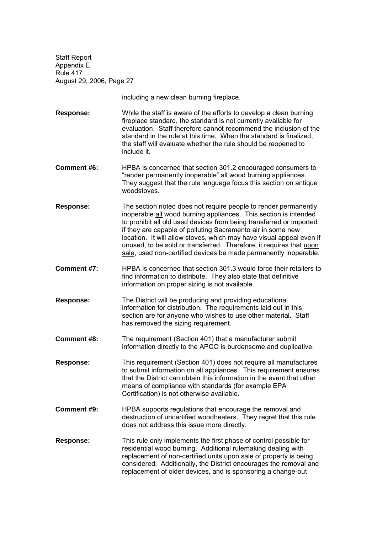including a new clean burning fireplace.

**Response:** While the staff is aware of the efforts to develop a clean burning fireplace standard, the standard is not currently available for evaluation. Staff therefore cannot recommend the inclusion of the standard in the rule at this time. When the standard is finalized, the staff will evaluate whether the rule should be reopened to include it.

- **Comment #6:** HPBA is concerned that section 301.2 encouraged consumers to "render permanently inoperable" all wood burning appliances. They suggest that the rule language focus this section on antique woodstoves.
- **Response:** The section noted does not require people to render permanently inoperable all wood burning appliances. This section is intended to prohibit all old used devices from being transferred or imported if they are capable of polluting Sacramento air in some new location. It will allow stoves, which may have visual appeal even if unused, to be sold or transferred. Therefore, it requires that upon sale, used non-certified devices be made permanently inoperable.
- **Comment #7:** HPBA is concerned that section 301.3 would force their retailers to find information to distribute. They also state that definitive information on proper sizing is not available.
- **Response:** The District will be producing and providing educational information for distribution. The requirements laid out in this section are for anyone who wishes to use other material. Staff has removed the sizing requirement.
- **Comment #8:** The requirement (Section 401) that a manufacturer submit information directly to the APCO is burdensome and duplicative.

**Response:** This requirement (Section 401) does not require all manufactures to submit information on all appliances. This requirement ensures that the District can obtain this information in the event that other means of compliance with standards (for example EPA Certification) is not otherwise available.

- **Comment #9:** HPBA supports regulations that encourage the removal and destruction of uncertified woodheaters. They regret that this rule does not address this issue more directly.
- **Response:** This rule only implements the first phase of control possible for residential wood burning. Additional rulemaking dealing with replacement of non-certified units upon sale of property is being considered. Additionally, the District encourages the removal and replacement of older devices, and is sponsoring a change-out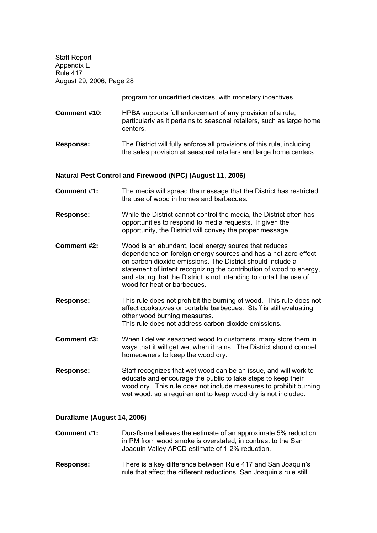program for uncertified devices, with monetary incentives.

- **Comment #10:** HPBA supports full enforcement of any provision of a rule, particularly as it pertains to seasonal retailers, such as large home centers.
- **Response:** The District will fully enforce all provisions of this rule, including the sales provision at seasonal retailers and large home centers.

### **Natural Pest Control and Firewood (NPC) (August 11, 2006)**

- **Comment #1:** The media will spread the message that the District has restricted the use of wood in homes and barbecues.
- **Response:** While the District cannot control the media, the District often has opportunities to respond to media requests. If given the opportunity, the District will convey the proper message.
- **Comment #2:** Wood is an abundant, local energy source that reduces dependence on foreign energy sources and has a net zero effect on carbon dioxide emissions. The District should include a statement of intent recognizing the contribution of wood to energy, and stating that the District is not intending to curtail the use of wood for heat or barbecues.
- **Response:** This rule does not prohibit the burning of wood. This rule does not affect cookstoves or portable barbecues. Staff is still evaluating other wood burning measures. This rule does not address carbon dioxide emissions.
- **Comment #3:** When I deliver seasoned wood to customers, many store them in ways that it will get wet when it rains. The District should compel homeowners to keep the wood dry.
- **Response:** Staff recognizes that wet wood can be an issue, and will work to educate and encourage the public to take steps to keep their wood dry. This rule does not include measures to prohibit burning wet wood, so a requirement to keep wood dry is not included.

### **Duraflame (August 14, 2006)**

**Comment #1:** Duraflame believes the estimate of an approximate 5% reduction in PM from wood smoke is overstated, in contrast to the San Joaquin Valley APCD estimate of 1-2% reduction.

**Response:** There is a key difference between Rule 417 and San Joaquin's rule that affect the different reductions. San Joaquin's rule still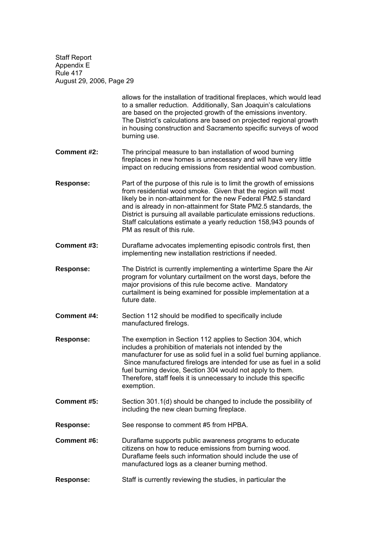> allows for the installation of traditional fireplaces, which would lead to a smaller reduction. Additionally, San Joaquin's calculations are based on the projected growth of the emissions inventory. The District's calculations are based on projected regional growth in housing construction and Sacramento specific surveys of wood burning use.

- **Comment #2:** The principal measure to ban installation of wood burning fireplaces in new homes is unnecessary and will have very little impact on reducing emissions from residential wood combustion.
- **Response:** Part of the purpose of this rule is to limit the growth of emissions from residential wood smoke. Given that the region will most likely be in non-attainment for the new Federal PM2.5 standard and is already in non-attainment for State PM2.5 standards, the District is pursuing all available particulate emissions reductions. Staff calculations estimate a yearly reduction 158,943 pounds of PM as result of this rule.
- **Comment #3:** Duraflame advocates implementing episodic controls first, then implementing new installation restrictions if needed.
- **Response:** The District is currently implementing a wintertime Spare the Air program for voluntary curtailment on the worst days, before the major provisions of this rule become active. Mandatory curtailment is being examined for possible implementation at a future date.
- **Comment #4:** Section 112 should be modified to specifically include manufactured firelogs.
- **Response:** The exemption in Section 112 applies to Section 304, which includes a prohibition of materials not intended by the manufacturer for use as solid fuel in a solid fuel burning appliance. Since manufactured firelogs are intended for use as fuel in a solid fuel burning device, Section 304 would not apply to them. Therefore, staff feels it is unnecessary to include this specific exemption.
- **Comment #5:** Section 301.1(d) should be changed to include the possibility of including the new clean burning fireplace.
- **Response:** See response to comment #5 from HPBA.
- **Comment #6:** Duraflame supports public awareness programs to educate citizens on how to reduce emissions from burning wood. Duraflame feels such information should include the use of manufactured logs as a cleaner burning method.
- **Response:** Staff is currently reviewing the studies, in particular the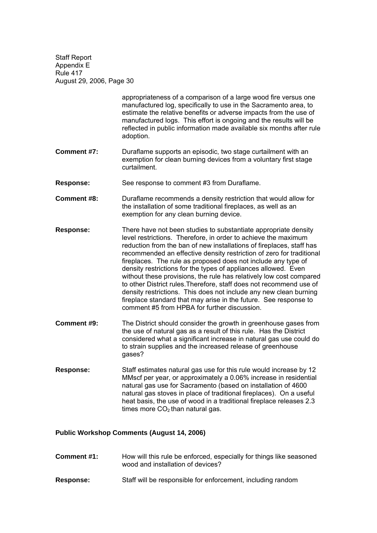> appropriateness of a comparison of a large wood fire versus one manufactured log, specifically to use in the Sacramento area, to estimate the relative benefits or adverse impacts from the use of manufactured logs. This effort is ongoing and the results will be reflected in public information made available six months after rule adoption.

**Comment #7:** Duraflame supports an episodic, two stage curtailment with an exemption for clean burning devices from a voluntary first stage curtailment.

**Response:** See response to comment #3 from Duraflame.

- **Comment #8:** Duraflame recommends a density restriction that would allow for the installation of some traditional fireplaces, as well as an exemption for any clean burning device.
- **Response:** There have not been studies to substantiate appropriate density level restrictions. Therefore, in order to achieve the maximum reduction from the ban of new installations of fireplaces, staff has recommended an effective density restriction of zero for traditional fireplaces. The rule as proposed does not include any type of density restrictions for the types of appliances allowed. Even without these provisions, the rule has relatively low cost compared to other District rules.Therefore, staff does not recommend use of density restrictions. This does not include any new clean burning fireplace standard that may arise in the future. See response to comment #5 from HPBA for further discussion.
- **Comment #9:** The District should consider the growth in greenhouse gases from the use of natural gas as a result of this rule. Has the District considered what a significant increase in natural gas use could do to strain supplies and the increased release of greenhouse gases?
- **Response:** Staff estimates natural gas use for this rule would increase by 12 MMscf per year, or approximately a 0.06% increase in residential natural gas use for Sacramento (based on installation of 4600 natural gas stoves in place of traditional fireplaces). On a useful heat basis, the use of wood in a traditional fireplace releases 2.3 times more  $CO<sub>2</sub>$ than natural gas.

### **Public Workshop Comments (August 14, 2006)**

- **Comment #1:** How will this rule be enforced, especially for things like seasoned wood and installation of devices?
- **Response:** Staff will be responsible for enforcement, including random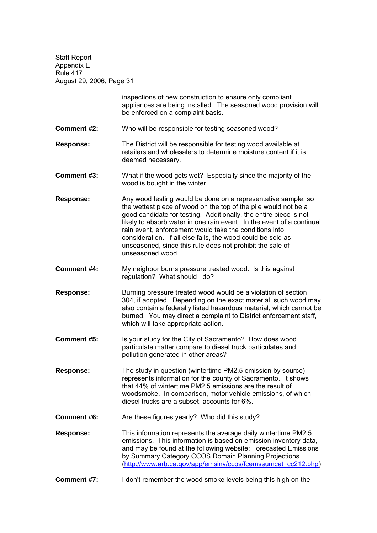inspections of new construction to ensure only compliant appliances are being installed. The seasoned wood provision will be enforced on a complaint basis. **Comment #2:** Who will be responsible for testing seasoned wood? **Response:** The District will be responsible for testing wood available at retailers and wholesalers to determine moisture content if it is deemed necessary. **Comment #3:** What if the wood gets wet? Especially since the majority of the wood is bought in the winter. **Response:** Any wood testing would be done on a representative sample, so the wettest piece of wood on the top of the pile would not be a good candidate for testing. Additionally, the entire piece is not likely to absorb water in one rain event. In the event of a continual rain event, enforcement would take the conditions into consideration. If all else fails, the wood could be sold as unseasoned, since this rule does not prohibit the sale of unseasoned wood. **Comment #4:** My neighbor burns pressure treated wood. Is this against regulation? What should I do? Response: Burning pressure treated wood would be a violation of section 304, if adopted. Depending on the exact material, such wood may also contain a federally listed hazardous material, which cannot be burned. You may direct a complaint to District enforcement staff, which will take appropriate action. **Comment #5:** Is your study for the City of Sacramento? How does wood particulate matter compare to diesel truck particulates and pollution generated in other areas? **Response:** The study in question (wintertime PM2.5 emission by source) represents information for the county of Sacramento. It shows that 44% of wintertime PM2.5 emissions are the result of woodsmoke. In comparison, motor vehicle emissions, of which diesel trucks are a subset, accounts for 6%. **Comment #6:** Are these figures yearly? Who did this study? **Response:** This information represents the average daily wintertime PM2.5 emissions. This information is based on emission inventory data, and may be found at the following website: Forecasted Emissions by Summary Category CCOS Domain Planning Projections (http://www.arb.ca.gov/app/emsinv/ccos/fcemssumcat\_cc212.php)

**Comment #7:** I don't remember the wood smoke levels being this high on the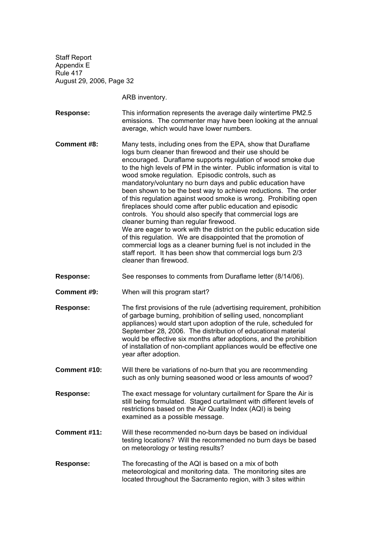ARB inventory.

**Response:** This information represents the average daily wintertime PM2.5 emissions. The commenter may have been looking at the annual average, which would have lower numbers.

**Comment #8:** Many tests, including ones from the EPA, show that Duraflame logs burn cleaner than firewood and their use should be encouraged. Duraflame supports regulation of wood smoke due to the high levels of PM in the winter. Public information is vital to wood smoke regulation. Episodic controls, such as mandatory/voluntary no burn days and public education have been shown to be the best way to achieve reductions. The order of this regulation against wood smoke is wrong. Prohibiting open fireplaces should come after public education and episodic controls. You should also specify that commercial logs are cleaner burning than regular firewood. We are eager to work with the district on the public education side of this regulation. We are disappointed that the promotion of commercial logs as a cleaner burning fuel is not included in the staff report. It has been show that commercial logs burn 2/3 cleaner than firewood.

**Response:** See responses to comments from Duraflame letter (8/14/06).

**Comment #9:** When will this program start?

- **Response:** The first provisions of the rule (advertising requirement, prohibition of garbage burning, prohibition of selling used, noncompliant appliances) would start upon adoption of the rule, scheduled for September 28, 2006. The distribution of educational material would be effective six months after adoptions, and the prohibition of installation of non-compliant appliances would be effective one year after adoption.
- **Comment #10:** Will there be variations of no-burn that you are recommending such as only burning seasoned wood or less amounts of wood?
- **Response:** The exact message for voluntary curtailment for Spare the Air is still being formulated. Staged curtailment with different levels of restrictions based on the Air Quality Index (AQI) is being examined as a possible message.
- **Comment #11:** Will these recommended no-burn days be based on individual testing locations? Will the recommended no burn days be based on meteorology or testing results?
- **Response:** The forecasting of the AQI is based on a mix of both meteorological and monitoring data. The monitoring sites are located throughout the Sacramento region, with 3 sites within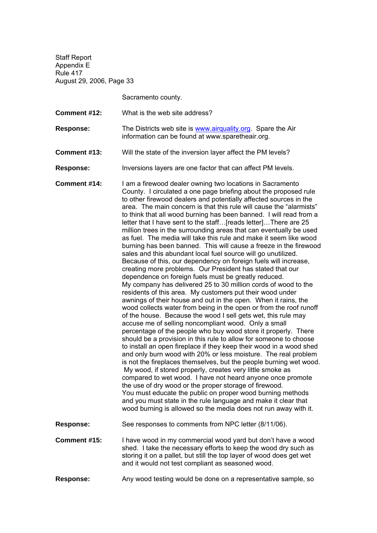Sacramento county.

- **Comment #12:** What is the web site address?
- **Response:** The Districts web site is www.airquality.org. Spare the Air information can be found at www.sparetheair.org.
- **Comment #13:** Will the state of the inversion layer affect the PM levels?

**Response:** Inversions layers are one factor that can affect PM levels.

**Comment #14:** I am a firewood dealer owning two locations in Sacramento County. I circulated a one page briefing about the proposed rule to other firewood dealers and potentially affected sources in the area. The main concern is that this rule will cause the "alarmists" to think that all wood burning has been banned. I will read from a letter that I have sent to the staff...[reads letter]...There are 25 million trees in the surrounding areas that can eventually be used as fuel. The media will take this rule and make it seem like wood burning has been banned. This will cause a freeze in the firewood sales and this abundant local fuel source will go unutilized. Because of this, our dependency on foreign fuels will increase, creating more problems. Our President has stated that our dependence on foreign fuels must be greatly reduced. My company has delivered 25 to 30 million cords of wood to the residents of this area. My customers put their wood under awnings of their house and out in the open. When it rains, the wood collects water from being in the open or from the roof runoff of the house. Because the wood I sell gets wet, this rule may accuse me of selling noncompliant wood. Only a small percentage of the people who buy wood store it properly. There should be a provision in this rule to allow for someone to choose to install an open fireplace if they keep their wood in a wood shed and only burn wood with 20% or less moisture. The real problem is not the fireplaces themselves, but the people burning wet wood. My wood, if stored properly, creates very little smoke as compared to wet wood. I have not heard anyone once promote the use of dry wood or the proper storage of firewood. You must educate the public on proper wood burning methods and you must state in the rule language and make it clear that wood burning is allowed so the media does not run away with it. **Response:** See responses to comments from NPC letter (8/11/06).

**Comment #15:** I have wood in my commercial wood yard but don't have a wood shed. I take the necessary efforts to keep the wood dry such as storing it on a pallet, but still the top layer of wood does get wet and it would not test compliant as seasoned wood.

**Response:** Any wood testing would be done on a representative sample, so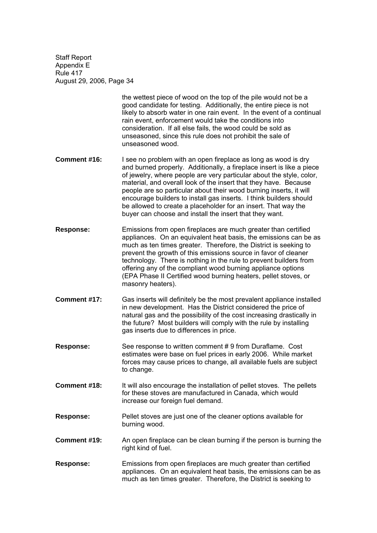> the wettest piece of wood on the top of the pile would not be a good candidate for testing. Additionally, the entire piece is not likely to absorb water in one rain event. In the event of a continual rain event, enforcement would take the conditions into consideration. If all else fails, the wood could be sold as unseasoned, since this rule does not prohibit the sale of unseasoned wood.

- **Comment #16:** I see no problem with an open fireplace as long as wood is dry and burned properly. Additionally, a fireplace insert is like a piece of iewelry, where people are very particular about the style, color, material, and overall look of the insert that they have. Because people are so particular about their wood burning inserts, it will encourage builders to install gas inserts. I think builders should be allowed to create a placeholder for an insert. That way the buyer can choose and install the insert that they want.
- **Response:** Emissions from open fireplaces are much greater than certified appliances. On an equivalent heat basis, the emissions can be as much as ten times greater. Therefore, the District is seeking to prevent the growth of this emissions source in favor of cleaner technology. There is nothing in the rule to prevent builders from offering any of the compliant wood burning appliance options (EPA Phase II Certified wood burning heaters, pellet stoves, or masonry heaters).
- **Comment #17:** Gas inserts will definitely be the most prevalent appliance installed in new development. Has the District considered the price of natural gas and the possibility of the cost increasing drastically in the future? Most builders will comply with the rule by installing gas inserts due to differences in price.
- **Response:** See response to written comment #9 from Duraflame. Cost estimates were base on fuel prices in early 2006. While market forces may cause prices to change, all available fuels are subject to change.
- **Comment #18:** It will also encourage the installation of pellet stoves. The pellets for these stoves are manufactured in Canada, which would increase our foreign fuel demand.
- **Response:** Pellet stoves are just one of the cleaner options available for burning wood.
- **Comment #19:** An open fireplace can be clean burning if the person is burning the right kind of fuel.
- **Response:** Emissions from open fireplaces are much greater than certified appliances. On an equivalent heat basis, the emissions can be as much as ten times greater. Therefore, the District is seeking to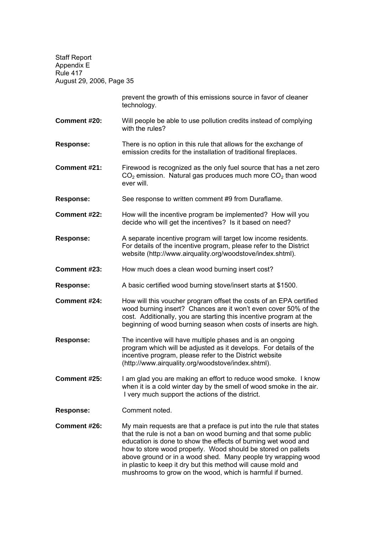> prevent the growth of this emissions source in favor of cleaner technology.

**Comment #20:** Will people be able to use pollution credits instead of complying with the rules?

**Response:** There is no option in this rule that allows for the exchange of emission credits for the installation of traditional fireplaces.

**Comment #21:** Firewood is recognized as the only fuel source that has a net zero  $CO<sub>2</sub>$  emission. Natural gas produces much more  $CO<sub>2</sub>$  than wood ever will.

**Response:** See response to written comment #9 from Duraflame.

**Comment #22:** How will the incentive program be implemented? How will you decide who will get the incentives? Is it based on need?

**Response:** A separate incentive program will target low income residents. For details of the incentive program, please refer to the District website (http://www.airquality.org/woodstove/index.shtml).

**Comment #23:** How much does a clean wood burning insert cost?

**Response:** A basic certified wood burning stove/insert starts at \$1500.

**Comment #24:** How will this voucher program offset the costs of an EPA certified wood burning insert? Chances are it won't even cover 50% of the cost. Additionally, you are starting this incentive program at the beginning of wood burning season when costs of inserts are high.

**Response:** The incentive will have multiple phases and is an ongoing program which will be adjusted as it develops. For details of the incentive program, please refer to the District website (http://www.airquality.org/woodstove/index.shtml).

**Comment #25:** I am glad you are making an effort to reduce wood smoke. I know when it is a cold winter day by the smell of wood smoke in the air. I very much support the actions of the district.

**Response:** Comment noted.

**Comment #26:** My main requests are that a preface is put into the rule that states that the rule is not a ban on wood burning and that some public education is done to show the effects of burning wet wood and how to store wood properly. Wood should be stored on pallets above ground or in a wood shed. Many people try wrapping wood in plastic to keep it dry but this method will cause mold and mushrooms to grow on the wood, which is harmful if burned.